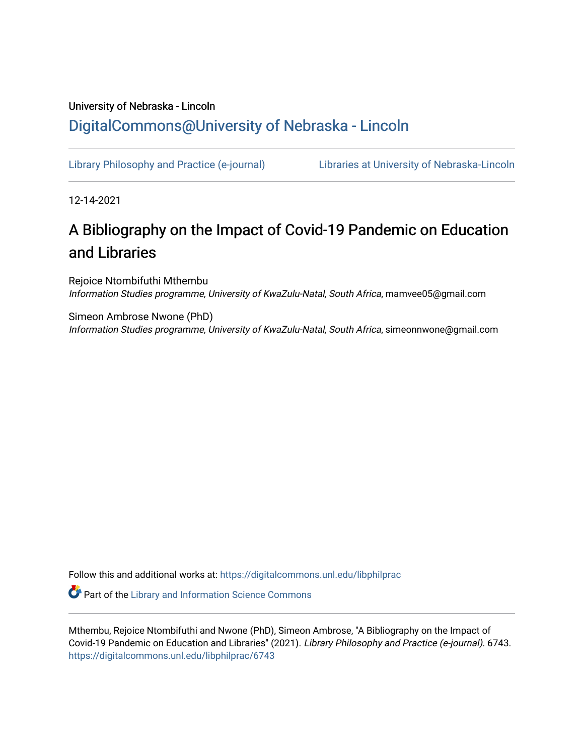# University of Nebraska - Lincoln [DigitalCommons@University of Nebraska - Lincoln](https://digitalcommons.unl.edu/)

[Library Philosophy and Practice \(e-journal\)](https://digitalcommons.unl.edu/libphilprac) [Libraries at University of Nebraska-Lincoln](https://digitalcommons.unl.edu/libraries) 

12-14-2021

# A Bibliography on the Impact of Covid-19 Pandemic on Education and Libraries

Rejoice Ntombifuthi Mthembu Information Studies programme, University of KwaZulu-Natal, South Africa, mamvee05@gmail.com

Simeon Ambrose Nwone (PhD) Information Studies programme, University of KwaZulu-Natal, South Africa, simeonnwone@gmail.com

Follow this and additional works at: [https://digitalcommons.unl.edu/libphilprac](https://digitalcommons.unl.edu/libphilprac?utm_source=digitalcommons.unl.edu%2Flibphilprac%2F6743&utm_medium=PDF&utm_campaign=PDFCoverPages) 

**Part of the Library and Information Science Commons** 

Mthembu, Rejoice Ntombifuthi and Nwone (PhD), Simeon Ambrose, "A Bibliography on the Impact of Covid-19 Pandemic on Education and Libraries" (2021). Library Philosophy and Practice (e-journal). 6743. [https://digitalcommons.unl.edu/libphilprac/6743](https://digitalcommons.unl.edu/libphilprac/6743?utm_source=digitalcommons.unl.edu%2Flibphilprac%2F6743&utm_medium=PDF&utm_campaign=PDFCoverPages)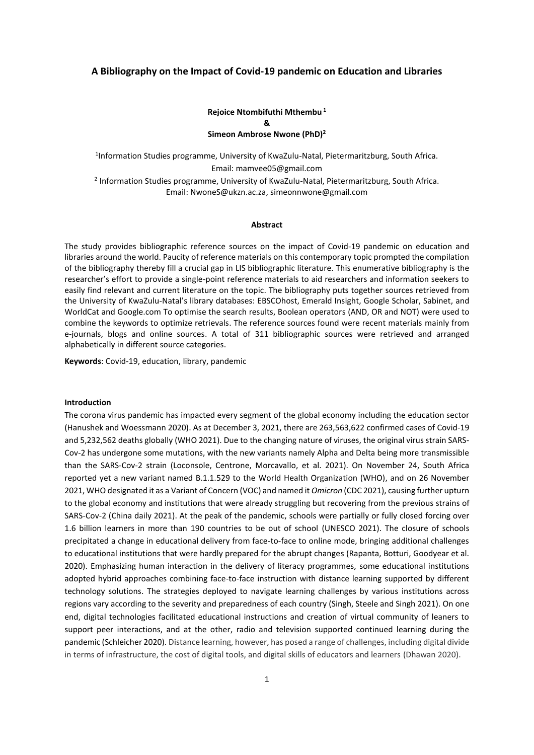# **A Bibliography on the Impact of Covid-19 pandemic on Education and Libraries**

# **Rejoice Ntombifuthi Mthembu <sup>1</sup> & Simeon Ambrose Nwone (PhD)<sup>2</sup>**

<sup>1</sup>Information Studies programme, University of KwaZulu-Natal, Pietermaritzburg, South Africa. Email: mamvee05@gmail.com <sup>2</sup> Information Studies programme, University of KwaZulu-Natal, Pietermaritzburg, South Africa. Email: [NwoneS@ukzn.ac.za,](mailto:NwoneS@ukzn.ac.za) simeonnwone@gmail.com

#### **Abstract**

The study provides bibliographic reference sources on the impact of Covid-19 pandemic on education and libraries around the world. Paucity of reference materials on this contemporary topic prompted the compilation of the bibliography thereby fill a crucial gap in LIS bibliographic literature. This enumerative bibliography is the researcher's effort to provide a single-point reference materials to aid researchers and information seekers to easily find relevant and current literature on the topic. The bibliography puts together sources retrieved from the University of KwaZulu-Natal's library databases: EBSCOhost, Emerald Insight, Google Scholar, Sabinet, and WorldCat and Google.com To optimise the search results, Boolean operators (AND, OR and NOT) were used to combine the keywords to optimize retrievals. The reference sources found were recent materials mainly from e-journals, blogs and online sources. A total of 311 bibliographic sources were retrieved and arranged alphabetically in different source categories.

**Keywords**: Covid-19, education, library, pandemic

## **Introduction**

The corona virus pandemic has impacted every segment of the global economy including the education sector (Hanushek and Woessmann 2020). As at December 3, 2021, there are 263,563,622 confirmed cases of Covid-19 and 5,232,562 deaths globally (WHO 2021). Due to the changing nature of viruses, the original virus strain SARS-Cov-2 has undergone some mutations, with the new variants namely Alpha and Delta being more transmissible than the SARS-Cov-2 strain (Loconsole, Centrone, Morcavallo, et al. 2021). On November 24, South Africa reported yet a new variant named B.1.1.529 to the World Health Organization (WHO), and on 26 November 2021, WHO designated it as a Variant of Concern (VOC) and named it *Omicron* (CDC 2021), causing further upturn to the global economy and institutions that were already struggling but recovering from the previous strains of SARS-Cov-2 (China daily 2021). At the peak of the pandemic, schools were partially or fully closed forcing over 1.6 billion learners in more than 190 countries to be out of school (UNESCO 2021). The closure of schools precipitated a change in educational delivery from face-to-face to online mode, bringing additional challenges to educational institutions that were hardly prepared for the abrupt changes (Rapanta, Botturi, Goodyear et al. 2020). Emphasizing human interaction in the delivery of literacy programmes, some educational institutions adopted hybrid approaches combining face-to-face instruction with distance learning supported by different technology solutions. The strategies deployed to navigate learning challenges by various institutions across regions vary according to the severity and preparedness of each country (Singh, Steele and Singh 2021). On one end, digital technologies facilitated educational instructions and creation of virtual community of leaners to support peer interactions, and at the other, radio and television supported continued learning during the pandemic (Schleicher 2020). Distance learning, however, has posed a range of challenges, including digital divide in terms of infrastructure, the cost of digital tools, and digital skills of educators and learners (Dhawan 2020).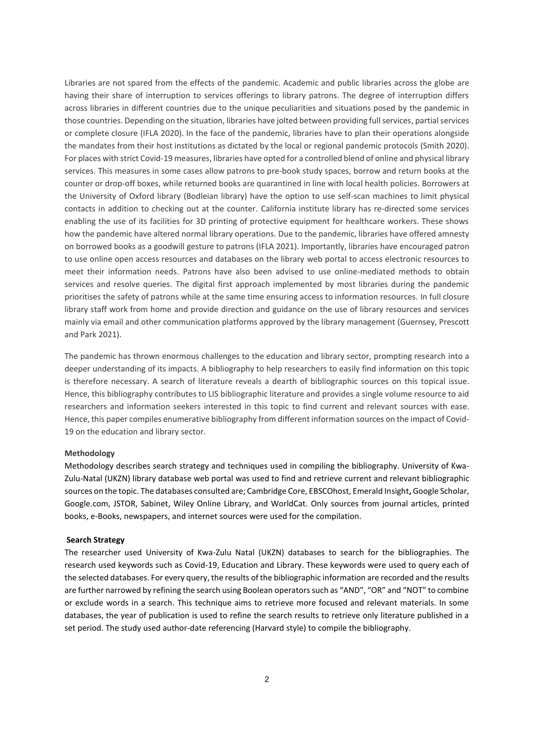Libraries are not spared from the effects of the pandemic. Academic and public libraries across the globe are having their share of interruption to services offerings to library patrons. The degree of interruption differs across libraries in different countries due to the unique peculiarities and situations posed by the pandemic in those countries. Depending on the situation, libraries have jolted between providing full services, partial services or complete closure (IFLA 2020). In the face of the pandemic, libraries have to plan their operations alongside the mandates from their host institutions as dictated by the local or regional pandemic protocols (Smith 2020). For places with strict Covid-19 measures, libraries have opted for a controlled blend of online and physical library services. This measures in some cases allow patrons to pre-book study spaces, borrow and return books at the counter or drop-off boxes, while returned books are quarantined in line with local health policies. Borrowers at the University of Oxford library (Bodleian library) have the option to use self-scan machines to limit physical contacts in addition to checking out at the counter. California institute library has re-directed some services enabling the use of its facilities for 3D printing of protective equipment for healthcare workers. These shows how the pandemic have altered normal library operations. Due to the pandemic, libraries have offered amnesty on borrowed books as a goodwill gesture to patrons (IFLA 2021). Importantly, libraries have encouraged patron to use online open access resources and databases on the library web portal to access electronic resources to meet their information needs. Patrons have also been advised to use online-mediated methods to obtain services and resolve queries. The digital first approach implemented by most libraries during the pandemic prioritises the safety of patrons while at the same time ensuring access to information resources. In full closure library staff work from home and provide direction and guidance on the use of library resources and services mainly via email and other communication platforms approved by the library management (Guernsey, Prescott and Park 2021).

The pandemic has thrown enormous challenges to the education and library sector, prompting research into a deeper understanding of its impacts. A bibliography to help researchers to easily find information on this topic is therefore necessary. A search of literature reveals a dearth of bibliographic sources on this topical issue. Hence, this bibliography contributes to LIS bibliographic literature and provides a single volume resource to aid researchers and information seekers interested in this topic to find current and relevant sources with ease. Hence, this paper compiles enumerative bibliography from different information sources on the impact of Covid-19 on the education and library sector.

#### **Methodology**

Methodology describes search strategy and techniques used in compiling the bibliography. University of Kwa-Zulu-Natal (UKZN) library database web portal was used to find and retrieve current and relevant bibliographic sources on the topic. The databases consulted are; Cambridge Core, EBSCOhost, Emerald Insight**,** Google Scholar, Google.com, JSTOR, Sabinet, Wiley Online Library, and WorldCat. Only sources from journal articles, printed books, e-Books, newspapers, and internet sources were used for the compilation.

#### **Search Strategy**

The researcher used University of Kwa-Zulu Natal (UKZN) databases to search for the bibliographies. The research used keywords such as Covid-19, Education and Library. These keywords were used to query each of the selected databases. For every query, the results of the bibliographic information are recorded and the results are further narrowed by refining the search using Boolean operators such as "AND", "OR" and "NOT" to combine or exclude words in a search. This technique aims to retrieve more focused and relevant materials. In some databases, the year of publication is used to refine the search results to retrieve only literature published in a set period. The study used author-date referencing (Harvard style) to compile the bibliography.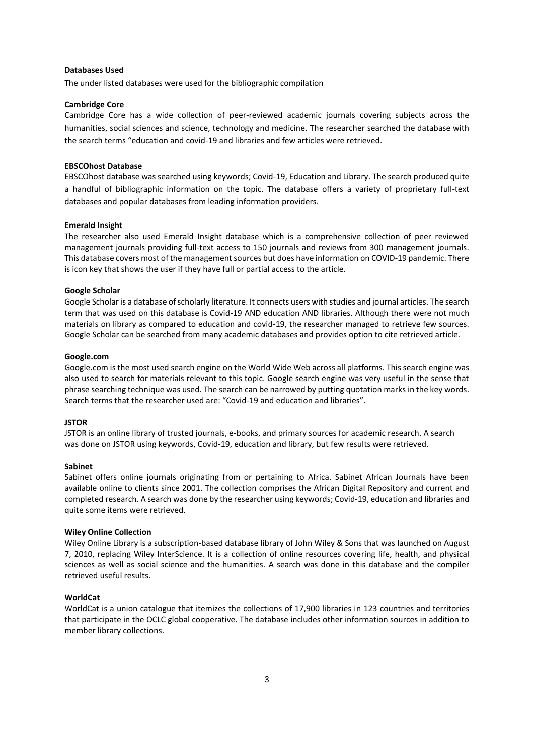# **Databases Used**

The under listed databases were used for the bibliographic compilation

#### **Cambridge Core**

Cambridge Core has a wide collection of peer-reviewed academic journals covering subjects across the humanities, social sciences and science, technology and medicine. The researcher searched the database with the search terms "education and covid-19 and libraries and few articles were retrieved.

## **EBSCOhost Database**

EBSCOhost database was searched using keywords; Covid-19, Education and Library. The search produced quite a handful of bibliographic information on the topic. The database offers a variety of proprietary full-text databases and popular databases from leading information providers.

#### **Emerald Insight**

The researcher also used Emerald Insight database which is a comprehensive collection of peer reviewed management journals providing full-text access to 150 journals and reviews from 300 management journals. This database covers most of the management sources but does have information on COVID-19 pandemic. There is icon key that shows the user if they have full or partial access to the article.

# **Google Scholar**

Google Scholar is a database of scholarly literature. It connects users with studies and journal articles. The search term that was used on this database is Covid-19 AND education AND libraries. Although there were not much materials on library as compared to education and covid-19, the researcher managed to retrieve few sources. Google Scholar can be searched from many academic databases and provides option to cite retrieved article.

## **Google.com**

Google.com is the most used search engine on the World Wide Web across all platforms. This search engine was also used to search for materials relevant to this topic. Google search engine was very useful in the sense that phrase searching technique was used. The search can be narrowed by putting quotation marks in the key words. Search terms that the researcher used are: "Covid-19 and education and libraries".

#### **JSTOR**

JSTOR is an online library of trusted journals, e-books, and primary sources for academic research. A search was done on JSTOR using keywords, Covid-19, education and library, but few results were retrieved.

# **Sabinet**

Sabinet offers online journals originating from or pertaining to Africa. Sabinet African Journals have been available online to clients since 2001. The collection comprises the African Digital Repository and current and completed research. A search was done by the researcher using keywords; Covid-19, education and libraries and quite some items were retrieved.

#### **Wiley Online Collection**

Wiley Online Library is a subscription-based database library of John Wiley & Sons that was launched on August 7, 2010, replacing Wiley InterScience. It is a collection of online resources covering life, health, and physical sciences as well as social science and the humanities. A search was done in this database and the compiler retrieved useful results.

## **WorldCat**

WorldCat is a union catalogue that itemizes the collections of 17,900 libraries in 123 countries and territories that participate in the OCLC global cooperative. The database includes other information sources in addition to member library collections.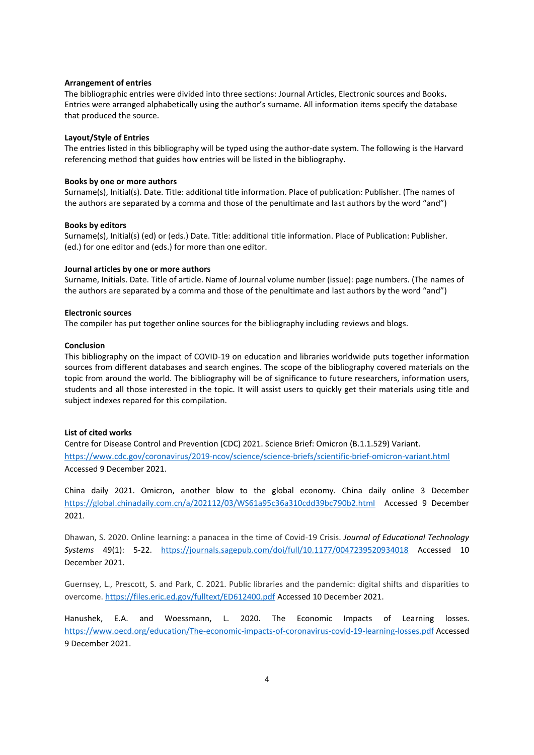## **Arrangement of entries**

The bibliographic entries were divided into three sections: Journal Articles, Electronic sources and Books**.** Entries were arranged alphabetically using the author's surname. All information items specify the database that produced the source.

#### **Layout/Style of Entries**

The entries listed in this bibliography will be typed using the author-date system. The following is the Harvard referencing method that guides how entries will be listed in the bibliography.

## **Books by one or more authors**

Surname(s), Initial(s). Date. Title: additional title information. Place of publication: Publisher. (The names of the authors are separated by a comma and those of the penultimate and last authors by the word "and")

#### **Books by editors**

Surname(s), Initial(s) (ed) or (eds.) Date. Title: additional title information. Place of Publication: Publisher. (ed.) for one editor and (eds.) for more than one editor.

#### **Journal articles by one or more authors**

Surname, Initials. Date. Title of article. Name of Journal volume number (issue): page numbers. (The names of the authors are separated by a comma and those of the penultimate and last authors by the word "and")

#### **Electronic sources**

The compiler has put together online sources for the bibliography including reviews and blogs.

## **Conclusion**

This bibliography on the impact of COVID-19 on education and libraries worldwide puts together information sources from different databases and search engines. The scope of the bibliography covered materials on the topic from around the world. The bibliography will be of significance to future researchers, information users, students and all those interested in the topic. It will assist users to quickly get their materials using title and subject indexes repared for this compilation.

### **List of cited works**

Centre for Disease Control and Prevention (CDC) 2021. Science Brief: Omicron (B.1.1.529) Variant. <https://www.cdc.gov/coronavirus/2019-ncov/science/science-briefs/scientific-brief-omicron-variant.html> Accessed 9 December 2021.

China daily 2021. Omicron, another blow to the global economy. China daily online 3 December <https://global.chinadaily.com.cn/a/202112/03/WS61a95c36a310cdd39bc790b2.html>Accessed 9 December 2021.

Dhawan, S. 2020. Online learning: a panacea in the time of Covid-19 Crisis. *Journal of Educational Technology Systems* 49(1): 5-22. <https://journals.sagepub.com/doi/full/10.1177/0047239520934018> Accessed 10 December 2021.

Guernsey, L., Prescott, S. and Park, C. 2021. Public libraries and the pandemic: digital shifts and disparities to overcome[. https://files.eric.ed.gov/fulltext/ED612400.pdf](https://files.eric.ed.gov/fulltext/ED612400.pdf) Accessed 10 December 2021.

Hanushek, E.A. and Woessmann, L. 2020. The Economic Impacts of Learning losses. [https://www.oecd.org/education/The-economic-impacts-of-coronavirus-covid-19-learning-losses.pdf](https://www.oecd.org/education/The-economic-impacts-of-coronavirus-covid-19-learning-losses.pdf%20Accessed%209%20December%202021) Accessed [9 December 2021.](https://www.oecd.org/education/The-economic-impacts-of-coronavirus-covid-19-learning-losses.pdf%20Accessed%209%20December%202021)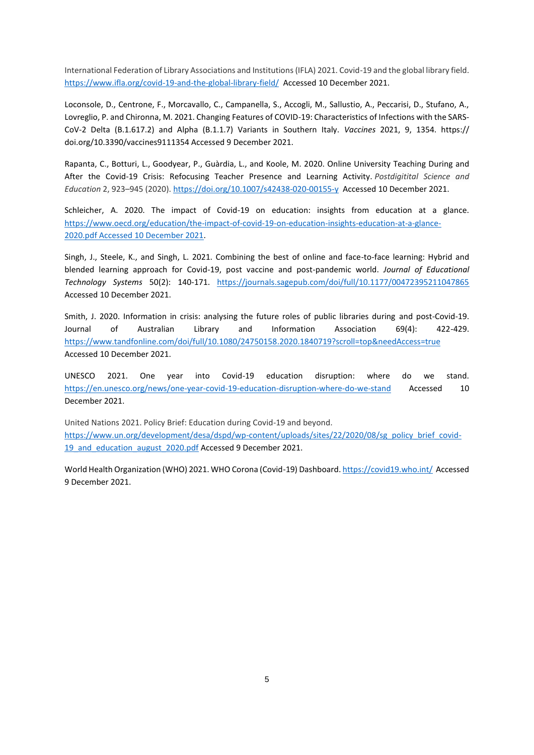International Federation of Library Associations and Institutions (IFLA) 2021. Covid-19 and the global library field. <https://www.ifla.org/covid-19-and-the-global-library-field/>Accessed 10 December 2021.

Loconsole, D., Centrone, F., Morcavallo, C., Campanella, S., Accogli, M., Sallustio, A., Peccarisi, D., Stufano, A., Lovreglio, P. and Chironna, M. 2021. Changing Features of COVID-19: Characteristics of Infections with the SARS-CoV-2 Delta (B.1.617.2) and Alpha (B.1.1.7) Variants in Southern Italy. *Vaccines* 2021, 9, 1354. https:// doi.org/10.3390/vaccines9111354 Accessed 9 December 2021.

Rapanta, C., Botturi, L., Goodyear, P., Guàrdia, L., and Koole, M. 2020. Online University Teaching During and After the Covid-19 Crisis: Refocusing Teacher Presence and Learning Activity. *Postdigitital Science and Education* 2, 923–945 (2020).<https://doi.org/10.1007/s42438-020-00155-y>Accessed 10 December 2021.

Schleicher, A. 2020. The impact of Covid-19 on education: insights from education at a glance. [https://www.oecd.org/education/the-impact-of-covid-19-on-education-insights-education-at-a-glance-](https://www.oecd.org/education/the-impact-of-covid-19-on-education-insights-education-at-a-glance-2020.pdf%20Accessed%2010%20December%202021)[2020.pdf Accessed 10 December 2021.](https://www.oecd.org/education/the-impact-of-covid-19-on-education-insights-education-at-a-glance-2020.pdf%20Accessed%2010%20December%202021)

Singh, J., Steele, K., and Singh, L. 2021. Combining the best of online and face-to-face learning: Hybrid and blended learning approach for Covid-19, post vaccine and post-pandemic world. *Journal of Educational Technology Systems* 50(2): 140-171. <https://journals.sagepub.com/doi/full/10.1177/00472395211047865> Accessed 10 December 2021.

Smith, J. 2020. Information in crisis: analysing the future roles of public libraries during and post-Covid-19. Journal of Australian Library and Information Association 69(4): 422-429. <https://www.tandfonline.com/doi/full/10.1080/24750158.2020.1840719?scroll=top&needAccess=true> Accessed 10 December 2021.

UNESCO 2021. One year into Covid-19 education disruption: where do we stand. <https://en.unesco.org/news/one-year-covid-19-education-disruption-where-do-we-stand> Accessed 10 December 2021.

United Nations 2021. Policy Brief: Education during Covid-19 and beyond. [https://www.un.org/development/desa/dspd/wp-content/uploads/sites/22/2020/08/sg\\_policy\\_brief\\_covid-](https://www.un.org/development/desa/dspd/wp-content/uploads/sites/22/2020/08/sg_policy_brief_covid-19_and_education_august_2020.pdf)19 and education august 2020.pdf Accessed 9 December 2021.

World Health Organization (WHO) 2021. WHO Corona (Covid-19) Dashboard[. https://covid19.who.int/](https://covid19.who.int/) Accessed 9 December 2021.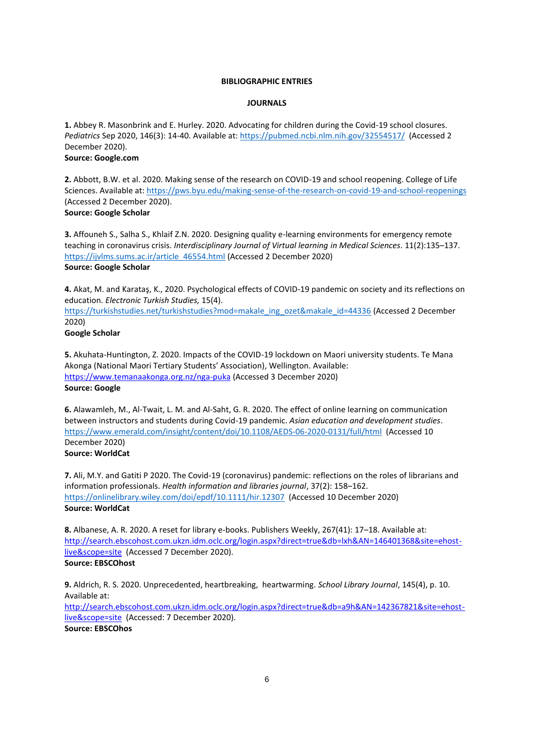# **BIBLIOGRAPHIC ENTRIES**

#### **JOURNALS**

**1.** Abbey R. Masonbrink and E. Hurley. 2020. Advocating for children during the Covid-19 school closures. *Pediatrics* Sep 2020, 146(3): 14-40. Available at: <https://pubmed.ncbi.nlm.nih.gov/32554517/> (Accessed 2 December 2020). **Source: Google.com**

**2.** Abbott, B.W. et al. 2020. Making sense of the research on COVID-19 and school reopening. College of Life Sciences. Available at: <https://pws.byu.edu/making-sense-of-the-research-on-covid-19-and-school-reopenings> (Accessed 2 December 2020). **Source: Google Scholar**

**3.** Affouneh S., Salha S., Khlaif Z.N. 2020. Designing quality e-learning environments for emergency remote teaching in coronavirus crisis. *Interdisciplinary Journal of Virtual learning in Medical Sciences*. 11(2):135–137. [https://ijvlms.sums.ac.ir/article\\_46554.html](https://ijvlms.sums.ac.ir/article_46554.html) (Accessed 2 December 2020) **Source: Google Scholar**

**4.** Akat, M. and Karataş, K., 2020. Psychological effects of COVID-19 pandemic on society and its reflections on education. *Electronic Turkish Studies,* 15(4).

[https://turkishstudies.net/turkishstudies?mod=makale\\_ing\\_ozet&makale\\_id=44336](https://turkishstudies.net/turkishstudies?mod=makale_ing_ozet&makale_id=44336) (Accessed 2 December 2020)

# **Google Scholar**

**5.** Akuhata-Huntington, Z. 2020. Impacts of the COVID-19 lockdown on Maori university students. Te Mana Akonga (National Maori Tertiary Students' Association), Wellington. Available: <https://www.temanaakonga.org.nz/nga-puka> (Accessed 3 December 2020) **Source: Google**

**6.** Alawamleh, M., Al-Twait, L. M. and Al-Saht, G. R. 2020. The effect of online learning on communication between instructors and students during Covid-19 pandemic. *Asian education and development studies*. <https://www.emerald.com/insight/content/doi/10.1108/AEDS-06-2020-0131/full/html> (Accessed 10 December 2020)

# **Source: WorldCat**

**7.** Ali, M.Y. and Gatiti P 2020. The Covid-19 (coronavirus) pandemic: reflections on the roles of librarians and information professionals. *Health information and libraries journal*, 37(2): 158–162. <https://onlinelibrary.wiley.com/doi/epdf/10.1111/hir.12307> (Accessed 10 December 2020) **Source: WorldCat**

**8.** Albanese, A. R. 2020. A reset for library e-books. Publishers Weekly, 267(41): 17–18. Available at: [http://search.ebscohost.com.ukzn.idm.oclc.org/login.aspx?direct=true&db=lxh&AN=146401368&site=ehost](http://search.ebscohost.com.ukzn.idm.oclc.org/login.aspx?direct=true&db=lxh&AN=146401368&site=ehost-live&scope=site)[live&scope=site](http://search.ebscohost.com.ukzn.idm.oclc.org/login.aspx?direct=true&db=lxh&AN=146401368&site=ehost-live&scope=site) (Accessed 7 December 2020). **Source: EBSCOhost**

**9.** Aldrich, R. S. 2020. Unprecedented, heartbreaking, heartwarming. *School Library Journal*, 145(4), p. 10. Available at:

[http://search.ebscohost.com.ukzn.idm.oclc.org/login.aspx?direct=true&db=a9h&AN=142367821&site=ehost](http://search.ebscohost.com.ukzn.idm.oclc.org/login.aspx?direct=true&db=a9h&AN=142367821&site=ehost-live&scope=site)[live&scope=site](http://search.ebscohost.com.ukzn.idm.oclc.org/login.aspx?direct=true&db=a9h&AN=142367821&site=ehost-live&scope=site) (Accessed: 7 December 2020). **Source: EBSCOhos**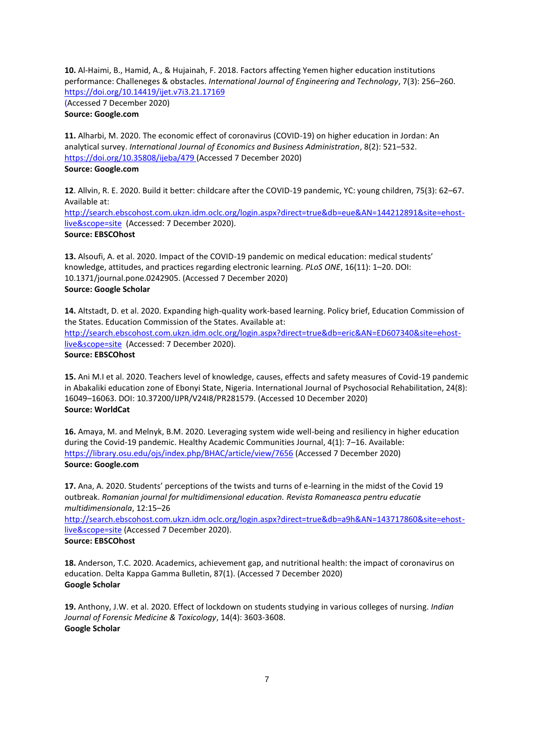**10.** Al-Haimi, B., Hamid, A., & Hujainah, F. 2018. Factors affecting Yemen higher education institutions performance: Challeneges & obstacles. *International Journal of Engineering and Technology*, 7(3): 256–260. <https://doi.org/10.14419/ijet.v7i3.21.17169>

(Accessed 7 December 2020) **Source: Google.com**

**11.** Alharbi, M. 2020. The economic effect of coronavirus (COVID-19) on higher education in Jordan: An analytical survey. *International Journal of Economics and Business Administration*, 8(2): 521–532. <https://doi.org/10.35808/ijeba/479> (Accessed 7 December 2020) **Source: Google.com**

**12**. Allvin, R. E. 2020. Build it better: childcare after the COVID-19 pandemic, YC: young children, 75(3): 62–67. Available at:

[http://search.ebscohost.com.ukzn.idm.oclc.org/login.aspx?direct=true&db=eue&AN=144212891&site=ehost](http://search.ebscohost.com.ukzn.idm.oclc.org/login.aspx?direct=true&db=eue&AN=144212891&site=ehost-live&scope=site)[live&scope=site](http://search.ebscohost.com.ukzn.idm.oclc.org/login.aspx?direct=true&db=eue&AN=144212891&site=ehost-live&scope=site) (Accessed: 7 December 2020). **Source: EBSCOhost**

**13.** Alsoufi, A. et al. 2020. Impact of the COVID-19 pandemic on medical education: medical students' knowledge, attitudes, and practices regarding electronic learning. *PLoS ONE*, 16(11): 1–20. DOI: 10.1371/journal.pone.0242905. (Accessed 7 December 2020) **Source: Google Scholar**

**14.** Altstadt, D. et al. 2020. Expanding high-quality work-based learning. Policy brief, Education Commission of the States. Education Commission of the States. Available at:

[http://search.ebscohost.com.ukzn.idm.oclc.org/login.aspx?direct=true&db=eric&AN=ED607340&site=ehost](http://search.ebscohost.com.ukzn.idm.oclc.org/login.aspx?direct=true&db=eric&AN=ED607340&site=ehost-live&scope=site)[live&scope=site](http://search.ebscohost.com.ukzn.idm.oclc.org/login.aspx?direct=true&db=eric&AN=ED607340&site=ehost-live&scope=site) (Accessed: 7 December 2020).

# **Source: EBSCOhost**

**15.** Ani M.I et al. 2020. Teachers level of knowledge, causes, effects and safety measures of Covid-19 pandemic in Abakaliki education zone of Ebonyi State, Nigeria. International Journal of Psychosocial Rehabilitation, 24(8): 16049–16063. DOI: 10.37200/IJPR/V24I8/PR281579. (Accessed 10 December 2020) **Source: WorldCat**

**16.** Amaya, M. and Melnyk, B.M. 2020. Leveraging system wide well-being and resiliency in higher education during the Covid-19 pandemic. Healthy Academic Communities Journal, 4(1): 7–16. Available: <https://library.osu.edu/ojs/index.php/BHAC/article/view/7656> (Accessed 7 December 2020) **Source: Google.com**

**17.** Ana, A. 2020. Students' perceptions of the twists and turns of e-learning in the midst of the Covid 19 outbreak. *Romanian journal for multidimensional education. Revista Romaneasca pentru educatie multidimensionala*, 12:15–26

[http://search.ebscohost.com.ukzn.idm.oclc.org/login.aspx?direct=true&db=a9h&AN=143717860&site=ehost](http://search.ebscohost.com.ukzn.idm.oclc.org/login.aspx?direct=true&db=a9h&AN=143717860&site=ehost-live&scope=site)[live&scope=site](http://search.ebscohost.com.ukzn.idm.oclc.org/login.aspx?direct=true&db=a9h&AN=143717860&site=ehost-live&scope=site) (Accessed 7 December 2020). **Source: EBSCOhost**

**18.** Anderson, T.C. 2020. Academics, achievement gap, and nutritional health: the impact of coronavirus on education. Delta Kappa Gamma Bulletin, 87(1). (Accessed 7 December 2020) **Google Scholar**

**19.** Anthony, J.W. et al. 2020. Effect of lockdown on students studying in various colleges of nursing. *Indian Journal of Forensic Medicine & Toxicology*, 14(4): 3603-3608. **Google Scholar**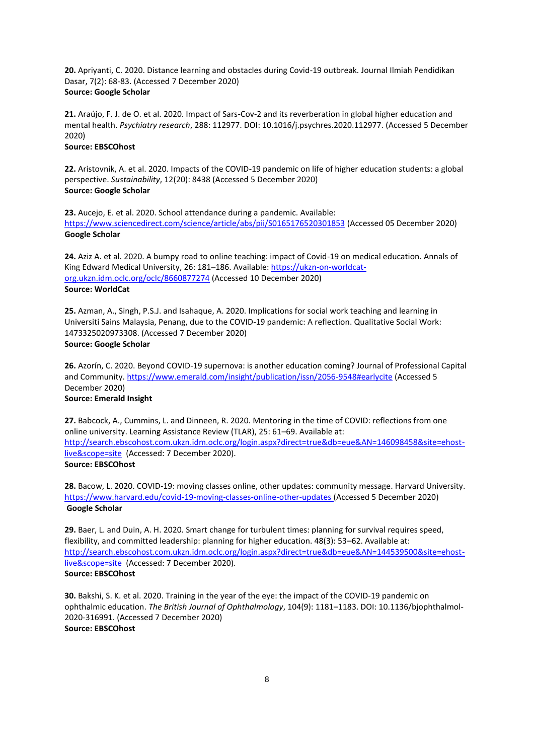**20.** Apriyanti, C. 2020. Distance learning and obstacles during Covid-19 outbreak. Journal Ilmiah Pendidikan Dasar, 7(2): 68-83. (Accessed 7 December 2020) **Source: Google Scholar**

**21.** Araújo, F. J. de O. et al. 2020. Impact of Sars-Cov-2 and its reverberation in global higher education and mental health. *Psychiatry research*, 288: 112977. DOI: 10.1016/j.psychres.2020.112977. (Accessed 5 December 2020)

# **Source: EBSCOhost**

**22.** Aristovnik, A. et al. 2020. Impacts of the COVID-19 pandemic on life of higher education students: a global perspective. *Sustainability*, 12(20): 8438 (Accessed 5 December 2020) **Source: Google Scholar**

**23.** Aucejo, E. et al. 2020. School attendance during a pandemic. Available: <https://www.sciencedirect.com/science/article/abs/pii/S0165176520301853> (Accessed 05 December 2020) **Google Scholar**

**24.** Aziz A. et al. 2020. A bumpy road to online teaching: impact of Covid-19 on medical education. Annals of King Edward Medical University, 26: 181-186. Available[: https://ukzn-on-worldcat](https://ukzn-on-worldcat-org.ukzn.idm.oclc.org/oclc/8660877274)[org.ukzn.idm.oclc.org/oclc/8660877274](https://ukzn-on-worldcat-org.ukzn.idm.oclc.org/oclc/8660877274) (Accessed 10 December 2020) **Source: WorldCat**

**25.** Azman, A., Singh, P.S.J. and Isahaque, A. 2020. Implications for social work teaching and learning in Universiti Sains Malaysia, Penang, due to the COVID-19 pandemic: A reflection. Qualitative Social Work: 1473325020973308. (Accessed 7 December 2020) **Source: Google Scholar**

**26.** Azorín, C. 2020. Beyond COVID-19 supernova: is another education coming? Journal of Professional Capital and Community[. https://www.emerald.com/insight/publication/issn/2056-9548#earlycite](https://www.emerald.com/insight/publication/issn/2056-9548#earlycite) (Accessed 5 December 2020) **Source: Emerald Insight**

**27.** Babcock, A., Cummins, L. and Dinneen, R. 2020. Mentoring in the time of COVID: reflections from one online university. Learning Assistance Review (TLAR), 25: 61–69. Available at: [http://search.ebscohost.com.ukzn.idm.oclc.org/login.aspx?direct=true&db=eue&AN=146098458&site=ehost](http://search.ebscohost.com.ukzn.idm.oclc.org/login.aspx?direct=true&db=eue&AN=146098458&site=ehost-live&scope=site)[live&scope=site](http://search.ebscohost.com.ukzn.idm.oclc.org/login.aspx?direct=true&db=eue&AN=146098458&site=ehost-live&scope=site) (Accessed: 7 December 2020). **Source: EBSCOhost**

**28.** Bacow, L. 2020. COVID-19: moving classes online, other updates: community message. Harvard University. <https://www.harvard.edu/covid-19-moving-classes-online-other-updates> (Accessed 5 December 2020) **Google Scholar**

**29.** Baer, L. and Duin, A. H. 2020. Smart change for turbulent times: planning for survival requires speed, flexibility, and committed leadership: planning for higher education. 48(3): 53–62. Available at: [http://search.ebscohost.com.ukzn.idm.oclc.org/login.aspx?direct=true&db=eue&AN=144539500&site=ehost](http://search.ebscohost.com.ukzn.idm.oclc.org/login.aspx?direct=true&db=eue&AN=144539500&site=ehost-live&scope=site)[live&scope=site](http://search.ebscohost.com.ukzn.idm.oclc.org/login.aspx?direct=true&db=eue&AN=144539500&site=ehost-live&scope=site) (Accessed: 7 December 2020). **Source: EBSCOhost**

**30.** Bakshi, S. K. et al. 2020. Training in the year of the eye: the impact of the COVID-19 pandemic on ophthalmic education. *The British Journal of Ophthalmology*, 104(9): 1181–1183. DOI: 10.1136/bjophthalmol-2020-316991. (Accessed 7 December 2020) **Source: EBSCOhost**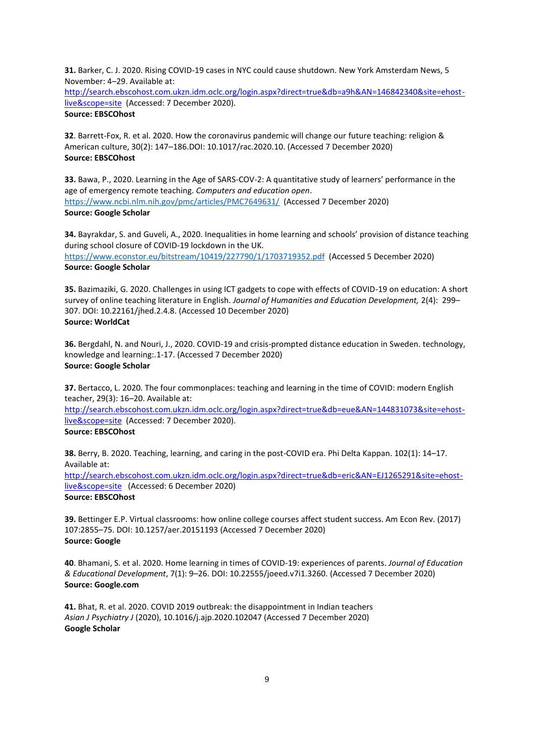**31.** Barker, C. J. 2020. Rising COVID-19 cases in NYC could cause shutdown. New York Amsterdam News, 5 November: 4–29. Available at:

[http://search.ebscohost.com.ukzn.idm.oclc.org/login.aspx?direct=true&db=a9h&AN=146842340&site=ehost](http://search.ebscohost.com.ukzn.idm.oclc.org/login.aspx?direct=true&db=a9h&AN=146842340&site=ehost-live&scope=site)[live&scope=site](http://search.ebscohost.com.ukzn.idm.oclc.org/login.aspx?direct=true&db=a9h&AN=146842340&site=ehost-live&scope=site) (Accessed: 7 December 2020). **Source: EBSCOhost**

**32**. Barrett-Fox, R. et al. 2020. How the coronavirus pandemic will change our future teaching: religion & American culture, 30(2): 147–186.DOI: 10.1017/rac.2020.10. (Accessed 7 December 2020) **Source: EBSCOhost**

**33.** Bawa, P., 2020. Learning in the Age of SARS-COV-2: A quantitative study of learners' performance in the age of emergency remote teaching. *Computers and education open*. <https://www.ncbi.nlm.nih.gov/pmc/articles/PMC7649631/> (Accessed 7 December 2020) **Source: Google Scholar**

**34.** Bayrakdar, S. and Guveli, A., 2020. Inequalities in home learning and schools' provision of distance teaching during school closure of COVID-19 lockdown in the UK.

<https://www.econstor.eu/bitstream/10419/227790/1/1703719352.pdf>(Accessed 5 December 2020) **Source: Google Scholar**

**35.** Bazimaziki, G. 2020. Challenges in using ICT gadgets to cope with effects of COVID-19 on education: A short survey of online teaching literature in English. *Journal of Humanities and Education Development,* 2(4): 299– 307. DOI: 10.22161/jhed.2.4.8. (Accessed 10 December 2020) **Source: WorldCat**

**36.** Bergdahl, N. and Nouri, J., 2020. COVID-19 and crisis-prompted distance education in Sweden. technology, knowledge and learning:.1-17. (Accessed 7 December 2020) **Source: Google Scholar**

**37.** Bertacco, L. 2020. The four commonplaces: teaching and learning in the time of COVID: modern English teacher, 29(3): 16–20. Available at:

[http://search.ebscohost.com.ukzn.idm.oclc.org/login.aspx?direct=true&db=eue&AN=144831073&site=ehost](http://search.ebscohost.com.ukzn.idm.oclc.org/login.aspx?direct=true&db=eue&AN=144831073&site=ehost-live&scope=site)[live&scope=site](http://search.ebscohost.com.ukzn.idm.oclc.org/login.aspx?direct=true&db=eue&AN=144831073&site=ehost-live&scope=site) (Accessed: 7 December 2020).

**Source: EBSCOhost**

**38.** Berry, B. 2020. Teaching, learning, and caring in the post-COVID era. Phi Delta Kappan. 102(1): 14–17. Available at:

[http://search.ebscohost.com.ukzn.idm.oclc.org/login.aspx?direct=true&db=eric&AN=EJ1265291&site=ehost](http://search.ebscohost.com.ukzn.idm.oclc.org/login.aspx?direct=true&db=eric&AN=EJ1265291&site=ehost-live&scope=site)[live&scope=site](http://search.ebscohost.com.ukzn.idm.oclc.org/login.aspx?direct=true&db=eric&AN=EJ1265291&site=ehost-live&scope=site) (Accessed: 6 December 2020) **Source: EBSCOhost**

**39.** Bettinger E.P. Virtual classrooms: how online college courses affect student success. Am Econ Rev. (2017) 107:2855–75. DOI: 10.1257/aer.20151193 (Accessed 7 December 2020) **Source: Google**

**40**. Bhamani, S. et al. 2020. Home learning in times of COVID-19: experiences of parents. *Journal of Education & Educational Development*, 7(1): 9–26. DOI: 10.22555/joeed.v7i1.3260. (Accessed 7 December 2020) **Source: Google.com**

**41.** Bhat, R. et al. 2020. COVID 2019 outbreak: the disappointment in Indian teachers *Asian J Psychiatry J* (2020), 10.1016/j.ajp.2020.102047 (Accessed 7 December 2020) **Google Scholar**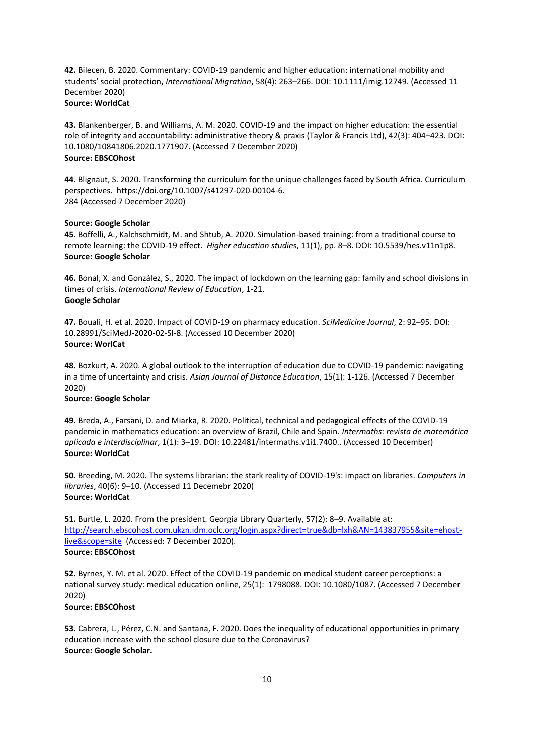**42.** Bilecen, B. 2020. Commentary: COVID-19 pandemic and higher education: international mobility and students' social protection, *International Migration*, 58(4): 263–266. DOI: 10.1111/imig.12749. (Accessed 11 December 2020) **Source: WorldCat**

**43.** Blankenberger, B. and Williams, A. M. 2020. COVID-19 and the impact on higher education: the essential role of integrity and accountability: administrative theory & praxis (Taylor & Francis Ltd), 42(3): 404–423. DOI: 10.1080/10841806.2020.1771907. (Accessed 7 December 2020) **Source: EBSCOhost**

**44**. Blignaut, S. 2020. Transforming the curriculum for the unique challenges faced by South Africa. Curriculum perspectives. https://doi.org/10.1007/s41297-020-00104-6. 284 (Accessed 7 December 2020)

#### **Source: Google Scholar**

**45**. Boffelli, A., Kalchschmidt, M. and Shtub, A. 2020. Simulation-based training: from a traditional course to remote learning: the COVID-19 effect. *Higher education studies*, 11(1), pp. 8–8. DOI: 10.5539/hes.v11n1p8. **Source: Google Scholar**

**46.** Bonal, X. and González, S., 2020. The impact of lockdown on the learning gap: family and school divisions in times of crisis. *International Review of Education*, 1-21. **Google Scholar**

**47.** Bouali, H. et al. 2020. Impact of COVID-19 on pharmacy education. *SciMedicine Journal*, 2: 92–95. DOI: 10.28991/SciMedJ-2020-02-SI-8. (Accessed 10 December 2020) **Source: WorlCat**

**48.** Bozkurt, A. 2020. A global outlook to the interruption of education due to COVID-19 pandemic: navigating in a time of uncertainty and crisis. *Asian Journal of Distance Education*, 15(1): 1-126. (Accessed 7 December 2020)

### **Source: Google Scholar**

**49.** Breda, A., Farsani, D. and Miarka, R. 2020. Political, technical and pedagogical effects of the COVID-19 pandemic in mathematics education: an overview of Brazil, Chile and Spain. *Intermaths: revista de matemática aplicada e interdisciplinar*, 1(1): 3–19. DOI: 10.22481/intermaths.v1i1.7400.. (Accessed 10 December) **Source: WorldCat**

**50**. Breeding, M. 2020. The systems librarian: the stark reality of COVID-19's: impact on libraries. *Computers in libraries*, 40(6): 9–10. (Accessed 11 Decemebr 2020) **Source: WorldCat**

**51.** Burtle, L. 2020. From the president. Georgia Library Quarterly, 57(2): 8–9. Available at: [http://search.ebscohost.com.ukzn.idm.oclc.org/login.aspx?direct=true&db=lxh&AN=143837955&site=ehost](http://search.ebscohost.com.ukzn.idm.oclc.org/login.aspx?direct=true&db=lxh&AN=143837955&site=ehost-live&scope=site)[live&scope=site](http://search.ebscohost.com.ukzn.idm.oclc.org/login.aspx?direct=true&db=lxh&AN=143837955&site=ehost-live&scope=site) (Accessed: 7 December 2020). **Source: EBSCOhost**

**52.** Byrnes, Y. M. et al. 2020. Effect of the COVID-19 pandemic on medical student career perceptions: a national survey study: medical education online, 25(1): 1798088. DOI: 10.1080/1087. (Accessed 7 December 2020)

# **Source: EBSCOhost**

**53.** Cabrera, L., Pérez, C.N. and Santana, F. 2020. Does the inequality of educational opportunities in primary education increase with the school closure due to the Coronavirus? **Source: Google Scholar.**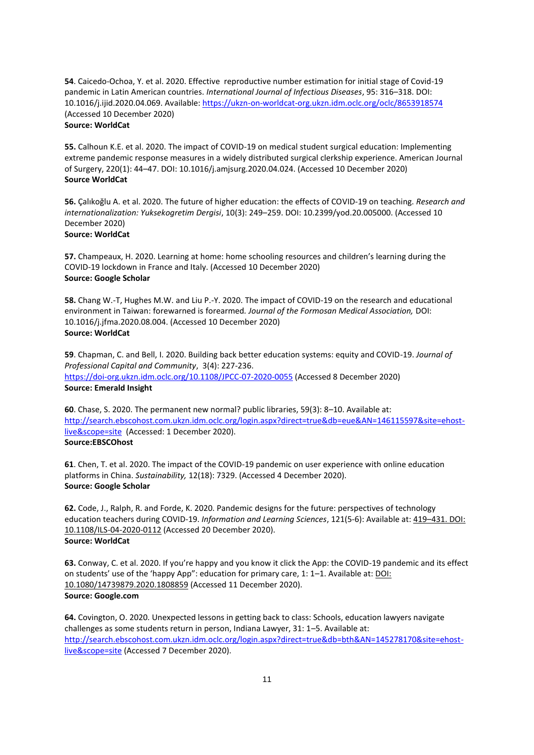**54**. Caicedo-Ochoa, Y. et al. 2020. Effective reproductive number estimation for initial stage of Covid-19 pandemic in Latin American countries. *International Journal of Infectious Diseases*, 95: 316–318. DOI: 10.1016/j.ijid.2020.04.069. Available:<https://ukzn-on-worldcat-org.ukzn.idm.oclc.org/oclc/8653918574> (Accessed 10 December 2020)

# **Source: WorldCat**

**55.** Calhoun K.E. et al. 2020. The impact of COVID-19 on medical student surgical education: Implementing extreme pandemic response measures in a widely distributed surgical clerkship experience. American Journal of Surgery, 220(1): 44–47. DOI: 10.1016/j.amjsurg.2020.04.024. (Accessed 10 December 2020) **Source WorldCat**

**56.** Çalıkoğlu A. et al. 2020. The future of higher education: the effects of COVID-19 on teaching. *Research and internationalization: Yuksekogretim Dergisi*, 10(3): 249–259. DOI: 10.2399/yod.20.005000. (Accessed 10 December 2020) **Source: WorldCat**

**57.** Champeaux, H. 2020. Learning at home: home schooling resources and children's learning during the COVID-19 lockdown in France and Italy. (Accessed 10 December 2020) **Source: Google Scholar**

**58.** Chang W.-T, Hughes M.W. and Liu P.-Y. 2020. The impact of COVID-19 on the research and educational environment in Taiwan: forewarned is forearmed*. Journal of the Formosan Medical Association,* DOI: 10.1016/j.jfma.2020.08.004. (Accessed 10 December 2020) **Source: WorldCat**

**59**. Chapman, C. and Bell, I. 2020. Building back better education systems: equity and COVID-19. *Journal of Professional Capital and Community*, 3(4): 227-236. <https://doi-org.ukzn.idm.oclc.org/10.1108/JPCC-07-2020-0055> (Accessed 8 December 2020) **Source: Emerald Insight**

**60**. Chase, S. 2020. The permanent new normal? public libraries, 59(3): 8–10. Available at: [http://search.ebscohost.com.ukzn.idm.oclc.org/login.aspx?direct=true&db=eue&AN=146115597&site=ehost](http://search.ebscohost.com.ukzn.idm.oclc.org/login.aspx?direct=true&db=eue&AN=146115597&site=ehost-live&scope=site)[live&scope=site](http://search.ebscohost.com.ukzn.idm.oclc.org/login.aspx?direct=true&db=eue&AN=146115597&site=ehost-live&scope=site) (Accessed: 1 December 2020). **Source:EBSCOhost**

**61**. Chen, T. et al. 2020. The impact of the COVID-19 pandemic on user experience with online education platforms in China. *Sustainability,* 12(18): 7329. (Accessed 4 December 2020). **Source: Google Scholar**

**62.** Code, J., Ralph, R. and Forde, K. 2020. Pandemic designs for the future: perspectives of technology education teachers during COVID-19. *Information and Learning Sciences*, 121(5-6): Available at: 419–431. DOI: 10.1108/ILS-04-2020-0112 (Accessed 20 December 2020). **Source: WorldCat**

**63.** Conway, C. et al. 2020. If you're happy and you know it click the App: the COVID-19 pandemic and its effect on students' use of the 'happy App": education for primary care, 1: 1–1. Available at: DOI: 10.1080/14739879.2020.1808859 (Accessed 11 December 2020). **Source: Google.com**

**64.** Covington, O. 2020. Unexpected lessons in getting back to class: Schools, education lawyers navigate challenges as some students return in person, Indiana Lawyer, 31: 1–5. Available at: [http://search.ebscohost.com.ukzn.idm.oclc.org/login.aspx?direct=true&db=bth&AN=145278170&site=ehost](http://search.ebscohost.com.ukzn.idm.oclc.org/login.aspx?direct=true&db=bth&AN=145278170&site=ehost-live&scope=site)[live&scope=site](http://search.ebscohost.com.ukzn.idm.oclc.org/login.aspx?direct=true&db=bth&AN=145278170&site=ehost-live&scope=site) (Accessed 7 December 2020).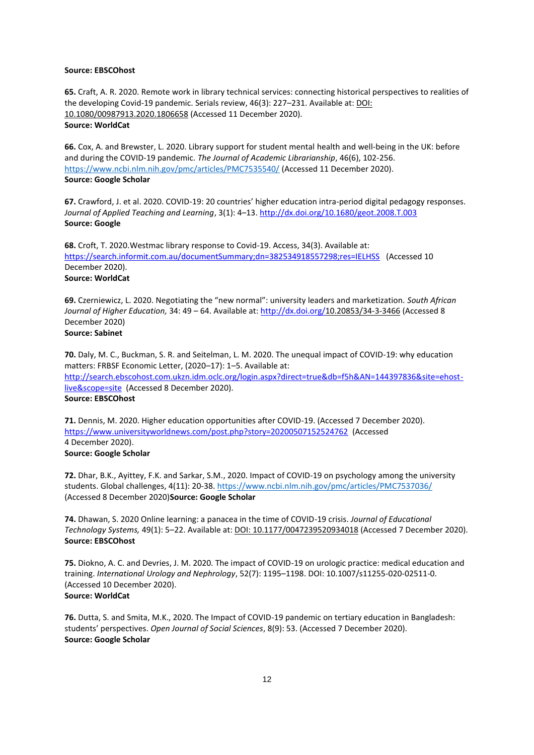#### **Source: EBSCOhost**

**65.** Craft, A. R. 2020. Remote work in library technical services: connecting historical perspectives to realities of the developing Covid-19 pandemic. Serials review, 46(3): 227–231. Available at: DOI: 10.1080/00987913.2020.1806658 (Accessed 11 December 2020). **Source: WorldCat**

**66.** Cox, A. and Brewster, L. 2020. Library support for student mental health and well-being in the UK: before and during the COVID-19 pandemic. *The Journal of Academic Librarianship*, 46(6), 102-256. <https://www.ncbi.nlm.nih.gov/pmc/articles/PMC7535540/> (Accessed 11 December 2020). **Source: Google Scholar**

**67.** Crawford, J. et al. 2020. COVID-19: 20 countries' higher education intra-period digital pedagogy responses. *Journal of Applied Teaching and Learning*, 3(1): 4–13.<http://dx.doi.org/10.1680/geot.2008.T.003> **Source: Google**

**68.** Croft, T. 2020.Westmac library response to Covid-19. Access, 34(3). Available at: <https://search.informit.com.au/documentSummary;dn=382534918557298;res=IELHSS>(Accessed 10 December 2020). **Source: WorldCat**

**69.** Czerniewicz, L. 2020. Negotiating the "new normal": university leaders and marketization. *South African Journal of Higher Education,* 34: 49 – 64. Available at[: http://dx.doi.org/1](http://dx.doi.org/)0.20853/34-3-3466 (Accessed 8 December 2020) **Source: Sabinet**

**70.** Daly, M. C., Buckman, S. R. and Seitelman, L. M. 2020. The unequal impact of COVID-19: why education matters: FRBSF Economic Letter, (2020–17): 1–5. Available at: [http://search.ebscohost.com.ukzn.idm.oclc.org/login.aspx?direct=true&db=f5h&AN=144397836&site=ehost](http://search.ebscohost.com.ukzn.idm.oclc.org/login.aspx?direct=true&db=f5h&AN=144397836&site=ehost-live&scope=site)[live&scope=site](http://search.ebscohost.com.ukzn.idm.oclc.org/login.aspx?direct=true&db=f5h&AN=144397836&site=ehost-live&scope=site) (Accessed 8 December 2020). **Source: EBSCOhost**

**71.** Dennis, M. 2020. Higher education opportunities after COVID-19. (Accessed 7 December 2020). <https://www.universityworldnews.com/post.php?story=20200507152524762>(Accessed 4 December 2020).

**Source: Google Scholar**

**72.** Dhar, B.K., Ayittey, F.K. and Sarkar, S.M., 2020. Impact of COVID‐19 on psychology among the university students. Global challenges, 4(11): 20-38[. https://www.ncbi.nlm.nih.gov/pmc/articles/PMC7537036/](https://www.ncbi.nlm.nih.gov/pmc/articles/PMC7537036/) (Accessed 8 December 2020)**Source: Google Scholar**

**74.** Dhawan, S. 2020 Online learning: a panacea in the time of COVID-19 crisis. *Journal of Educational Technology Systems,* 49(1): 5–22. Available at: DOI: 10.1177/0047239520934018 (Accessed 7 December 2020). **Source: EBSCOhost**

**75.** Diokno, A. C. and Devries, J. M. 2020. The impact of COVID-19 on urologic practice: medical education and training. *International Urology and Nephrology*, 52(7): 1195–1198. DOI: 10.1007/s11255-020-02511-0. (Accessed 10 December 2020). **Source: WorldCat**

**76.** Dutta, S. and Smita, M.K., 2020. The Impact of COVID-19 pandemic on tertiary education in Bangladesh: students' perspectives. *Open Journal of Social Sciences*, 8(9): 53. (Accessed 7 December 2020). **Source: Google Scholar**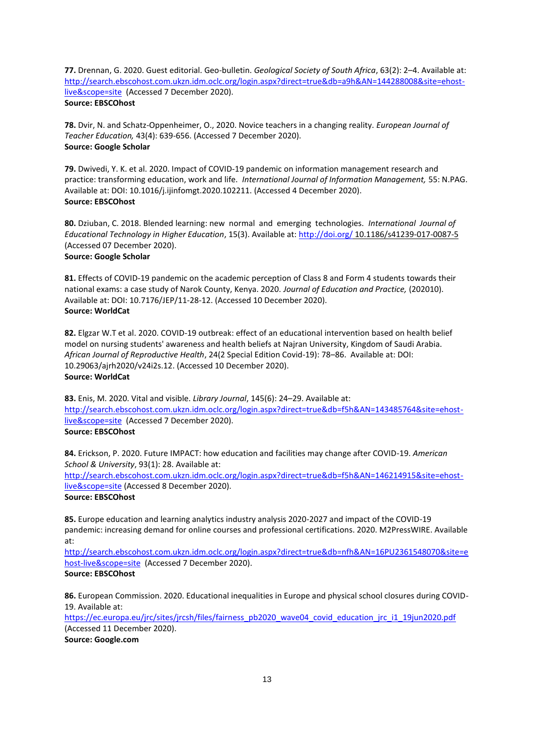**77.** Drennan, G. 2020. Guest editorial. Geo-bulletin. *Geological Society of South Africa*, 63(2): 2–4. Available at: [http://search.ebscohost.com.ukzn.idm.oclc.org/login.aspx?direct=true&db=a9h&AN=144288008&site=ehost](http://search.ebscohost.com.ukzn.idm.oclc.org/login.aspx?direct=true&db=a9h&AN=144288008&site=ehost-live&scope=site)[live&scope=site](http://search.ebscohost.com.ukzn.idm.oclc.org/login.aspx?direct=true&db=a9h&AN=144288008&site=ehost-live&scope=site) (Accessed 7 December 2020). **Source: EBSCOhost**

**78.** Dvir, N. and Schatz-Oppenheimer, O., 2020. Novice teachers in a changing reality. *European Journal of Teacher Education,* 43(4): 639-656. (Accessed 7 December 2020). **Source: Google Scholar**

**79.** Dwivedi, Y. K. et al. 2020. Impact of COVID-19 pandemic on information management research and practice: transforming education, work and life. *International Journal of Information Management,* 55: N.PAG. Available at: DOI: 10.1016/j.ijinfomgt.2020.102211. (Accessed 4 December 2020). **Source: EBSCOhost**

**80.** Dziuban, C. 2018. Blended learning: new normal and emerging technologies. *International Journal of Educational Technology in Higher Education*, 15(3). Available at:<http://doi.org/> 10.1186/s41239-017-0087-5 (Accessed 07 December 2020).

# **Source: Google Scholar**

**81.** Effects of COVID-19 pandemic on the academic perception of Class 8 and Form 4 students towards their national exams: a case study of Narok County, Kenya. 2020. *Journal of Education and Practice,* (202010). Available at: DOI: 10.7176/JEP/11-28-12. (Accessed 10 December 2020). **Source: WorldCat**

**82.** Elgzar W.T et al. 2020. COVID-19 outbreak: effect of an educational intervention based on health belief model on nursing students' awareness and health beliefs at Najran University, Kingdom of Saudi Arabia. *African Journal of Reproductive Health*, 24(2 Special Edition Covid-19): 78–86. Available at: DOI: 10.29063/ajrh2020/v24i2s.12. (Accessed 10 December 2020). **Source: WorldCat**

**83.** Enis, M. 2020. Vital and visible. *Library Journal*, 145(6): 24–29. Available at: [http://search.ebscohost.com.ukzn.idm.oclc.org/login.aspx?direct=true&db=f5h&AN=143485764&site=ehost](http://search.ebscohost.com.ukzn.idm.oclc.org/login.aspx?direct=true&db=f5h&AN=143485764&site=ehost-live&scope=site)[live&scope=site](http://search.ebscohost.com.ukzn.idm.oclc.org/login.aspx?direct=true&db=f5h&AN=143485764&site=ehost-live&scope=site) (Accessed 7 December 2020). **Source: EBSCOhost**

**84.** Erickson, P. 2020. Future IMPACT: how education and facilities may change after COVID-19. *American School & University*, 93(1): 28. Available at:

[http://search.ebscohost.com.ukzn.idm.oclc.org/login.aspx?direct=true&db=f5h&AN=146214915&site=ehost](http://search.ebscohost.com.ukzn.idm.oclc.org/login.aspx?direct=true&db=f5h&AN=146214915&site=ehost-live&scope=site)[live&scope=site](http://search.ebscohost.com.ukzn.idm.oclc.org/login.aspx?direct=true&db=f5h&AN=146214915&site=ehost-live&scope=site) (Accessed 8 December 2020).

**Source: EBSCOhost**

**85.** Europe education and learning analytics industry analysis 2020-2027 and impact of the COVID-19 pandemic: increasing demand for online courses and professional certifications. 2020. M2PressWIRE. Available at:

[http://search.ebscohost.com.ukzn.idm.oclc.org/login.aspx?direct=true&db=nfh&AN=16PU2361548070&site=e](http://search.ebscohost.com.ukzn.idm.oclc.org/login.aspx?direct=true&db=nfh&AN=16PU2361548070&site=ehost-live&scope=site) [host-live&scope=site](http://search.ebscohost.com.ukzn.idm.oclc.org/login.aspx?direct=true&db=nfh&AN=16PU2361548070&site=ehost-live&scope=site) (Accessed 7 December 2020).

**Source: EBSCOhost**

**86.** European Commission. 2020. Educational inequalities in Europe and physical school closures during COVID-19. Available at:

https://ec.europa.eu/jrc/sites/jrcsh/files/fairness\_pb2020\_wave04\_covid\_education\_jrc\_i1\_19jun2020.pdf (Accessed 11 December 2020).

**Source: Google.com**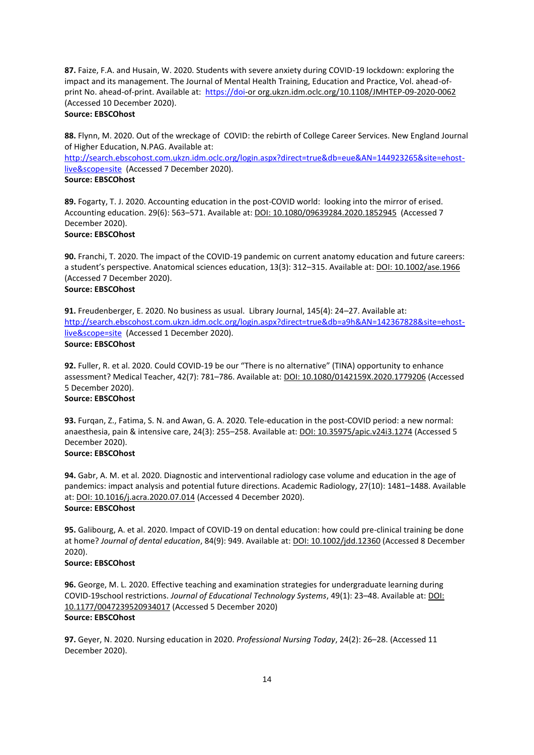**87.** Faize, F.A. and Husain, W. 2020. Students with severe anxiety during COVID-19 lockdown: exploring the impact and its management. The Journal of Mental Health Training, Education and Practice, Vol. ahead-ofprint No. ahead-of-print. Available at: [https://doi-](https://doi/)or org.ukzn.idm.oclc.org/10.1108/JMHTEP-09-2020-0062 (Accessed 10 December 2020).

# **Source: EBSCOhost**

**88.** Flynn, M. 2020. Out of the wreckage of COVID: the rebirth of College Career Services. New England Journal of Higher Education, N.PAG. Available at:

[http://search.ebscohost.com.ukzn.idm.oclc.org/login.aspx?direct=true&db=eue&AN=144923265&site=ehost](http://search.ebscohost.com.ukzn.idm.oclc.org/login.aspx?direct=true&db=eue&AN=144923265&site=ehost-live&scope=site)[live&scope=site](http://search.ebscohost.com.ukzn.idm.oclc.org/login.aspx?direct=true&db=eue&AN=144923265&site=ehost-live&scope=site) (Accessed 7 December 2020).

# **Source: EBSCOhost**

**89.** Fogarty, T. J. 2020. Accounting education in the post-COVID world: looking into the mirror of erised. Accounting education. 29(6): 563–571. Available at: DOI: 10.1080/09639284.2020.1852945 (Accessed 7 December 2020). **Source: EBSCOhost**

**90.** Franchi, T. 2020. The impact of the COVID-19 pandemic on current anatomy education and future careers: a student's perspective. Anatomical sciences education, 13(3): 312–315. Available at: DOI: 10.1002/ase.1966 (Accessed 7 December 2020).

# **Source: EBSCOhost**

**91.** Freudenberger, E. 2020. No business as usual. Library Journal, 145(4): 24–27. Available at: [http://search.ebscohost.com.ukzn.idm.oclc.org/login.aspx?direct=true&db=a9h&AN=142367828&site=ehost](http://search.ebscohost.com.ukzn.idm.oclc.org/login.aspx?direct=true&db=a9h&AN=142367828&site=ehost-live&scope=site)[live&scope=site](http://search.ebscohost.com.ukzn.idm.oclc.org/login.aspx?direct=true&db=a9h&AN=142367828&site=ehost-live&scope=site) (Accessed 1 December 2020). **Source: EBSCOhost**

**92.** Fuller, R. et al. 2020. Could COVID-19 be our "There is no alternative" (TINA) opportunity to enhance assessment? Medical Teacher, 42(7): 781–786. Available at: DOI: 10.1080/0142159X.2020.1779206 (Accessed 5 December 2020).

# **Source: EBSCOhost**

**93.** Furqan, Z., Fatima, S. N. and Awan, G. A. 2020. Tele-education in the post-COVID period: a new normal: anaesthesia, pain & intensive care, 24(3): 255–258. Available at: DOI: 10.35975/apic.v24i3.1274 (Accessed 5 December 2020).

# **Source: EBSCOhost**

**94.** Gabr, A. M. et al. 2020. Diagnostic and interventional radiology case volume and education in the age of pandemics: impact analysis and potential future directions. Academic Radiology, 27(10): 1481–1488. Available at: DOI: 10.1016/j.acra.2020.07.014 (Accessed 4 December 2020). **Source: EBSCOhost**

**95.** Galibourg, A. et al. 2020. Impact of COVID-19 on dental education: how could pre-clinical training be done at home? *Journal of dental education*, 84(9): 949. Available at: DOI: 10.1002/jdd.12360 (Accessed 8 December 2020).

# **Source: EBSCOhost**

**96.** George, M. L. 2020. Effective teaching and examination strategies for undergraduate learning during COVID-19school restrictions. *Journal of Educational Technology Systems*, 49(1): 23–48. Available at: DOI: 10.1177/0047239520934017 (Accessed 5 December 2020) **Source: EBSCOhost**

**97.** Geyer, N. 2020. Nursing education in 2020. *Professional Nursing Today*, 24(2): 26–28. (Accessed 11 December 2020).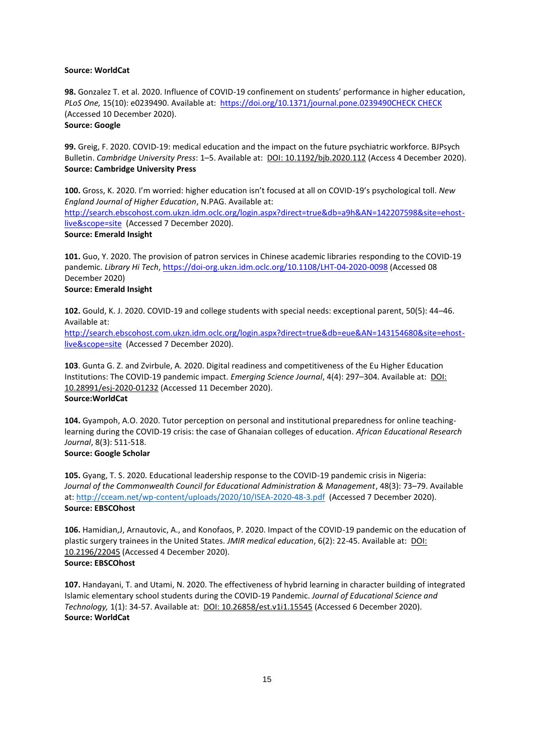#### **Source: WorldCat**

**98.** Gonzalez T. et al. 2020. Influence of COVID-19 confinement on students' performance in higher education, *PLoS One,* 15(10): e0239490. Available at:<https://doi.org/10.1371/journal.pone.0239490CHECK> CHECK (Accessed 10 December 2020). **Source: Google**

**99.** Greig, F. 2020. COVID-19: medical education and the impact on the future psychiatric workforce. BJPsych Bulletin. *Cambridge University Press*: 1–5. Available at: DOI: 10.1192/bjb.2020.112 (Access 4 December 2020). **Source: Cambridge University Press**

**100.** Gross, K. 2020. I'm worried: higher education isn't focused at all on COVID-19's psychological toll. *New England Journal of Higher Education*, N.PAG. Available at: [http://search.ebscohost.com.ukzn.idm.oclc.org/login.aspx?direct=true&db=a9h&AN=142207598&site=ehost](http://search.ebscohost.com.ukzn.idm.oclc.org/login.aspx?direct=true&db=a9h&AN=142207598&site=ehost-live&scope=site)[live&scope=site](http://search.ebscohost.com.ukzn.idm.oclc.org/login.aspx?direct=true&db=a9h&AN=142207598&site=ehost-live&scope=site) (Accessed 7 December 2020). **Source: Emerald Insight**

**101.** Guo, Y. 2020. The provision of patron services in Chinese academic libraries responding to the COVID-19 pandemic. *Library Hi Tech*[, https://doi-org.ukzn.idm.oclc.org/10.1108/LHT-04-2020-0098](https://doi-org.ukzn.idm.oclc.org/10.1108/LHT-04-2020-0098) (Accessed 08 December 2020)

# **Source: Emerald Insight**

**102.** Gould, K. J. 2020. COVID-19 and college students with special needs: exceptional parent, 50(5): 44–46. Available at:

[http://search.ebscohost.com.ukzn.idm.oclc.org/login.aspx?direct=true&db=eue&AN=143154680&site=ehost](http://search.ebscohost.com.ukzn.idm.oclc.org/login.aspx?direct=true&db=eue&AN=143154680&site=ehost-live&scope=site)[live&scope=site](http://search.ebscohost.com.ukzn.idm.oclc.org/login.aspx?direct=true&db=eue&AN=143154680&site=ehost-live&scope=site) (Accessed 7 December 2020).

**103**. Gunta G. Z. and Zvirbule, A. 2020. Digital readiness and competitiveness of the Eu Higher Education Institutions: The COVID-19 pandemic impact. *Emerging Science Journal*, 4(4): 297–304. Available at: DOI: 10.28991/esj-2020-01232 (Accessed 11 December 2020). **Source:WorldCat**

**104.** Gyampoh, A.O. 2020. Tutor perception on personal and institutional preparedness for online teachinglearning during the COVID-19 crisis: the case of Ghanaian colleges of education. *African Educational Research Journal*, 8(3): 511-518.

# **Source: Google Scholar**

**105.** Gyang, T. S. 2020. Educational leadership response to the COVID-19 pandemic crisis in Nigeria: *Journal of the Commonwealth Council for Educational Administration & Management*, 48(3): 73–79. Available at:<http://cceam.net/wp-content/uploads/2020/10/ISEA-2020-48-3.pdf>(Accessed 7 December 2020). **Source: EBSCOhost**

**106.** Hamidian,J, Arnautovic, A., and Konofaos, P. 2020. Impact of the COVID-19 pandemic on the education of plastic surgery trainees in the United States. *JMIR medical education*, 6(2): 22-45. Available at: DOI: 10.2196/22045 (Accessed 4 December 2020). **Source: EBSCOhost**

**107.** Handayani, T. and Utami, N. 2020. The effectiveness of hybrid learning in character building of integrated Islamic elementary school students during the COVID-19 Pandemic. *Journal of Educational Science and Technology,* 1(1): 34-57. Available at: DOI: 10.26858/est.v1i1.15545 (Accessed 6 December 2020). **Source: WorldCat**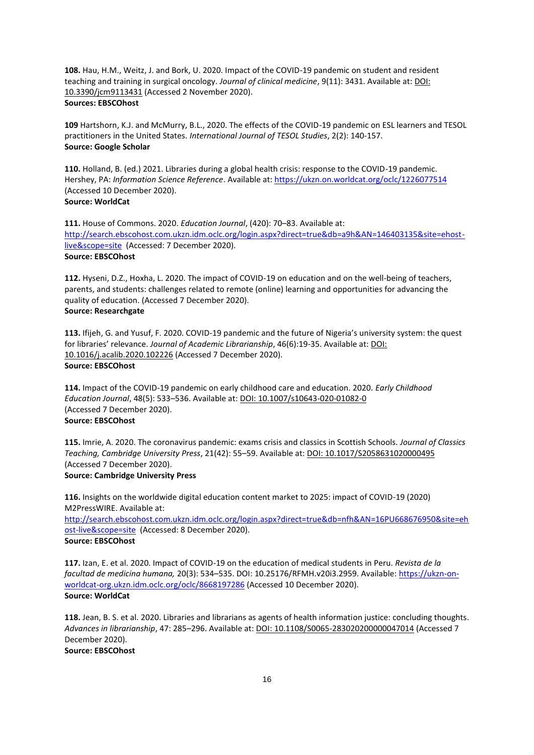**108.** Hau, H.M., Weitz, J. and Bork, U. 2020. Impact of the COVID-19 pandemic on student and resident teaching and training in surgical oncology. *Journal of clinical medicine*, 9(11): 3431. Available at: DOI: 10.3390/jcm9113431 (Accessed 2 November 2020). **Sources: EBSCOhost**

**109** Hartshorn, K.J. and McMurry, B.L., 2020. The effects of the COVID-19 pandemic on ESL learners and TESOL practitioners in the United States. *International Journal of TESOL Studies*, 2(2): 140-157. **Source: Google Scholar**

**110.** Holland, B. (ed.) 2021. Libraries during a global health crisis: response to the COVID-19 pandemic. Hershey, PA: *Information Science Reference*. Available at:<https://ukzn.on.worldcat.org/oclc/1226077514> (Accessed 10 December 2020). **Source: WorldCat**

**111.** House of Commons. 2020. *Education Journal*, (420): 70–83. Available at: [http://search.ebscohost.com.ukzn.idm.oclc.org/login.aspx?direct=true&db=a9h&AN=146403135&site=ehost](http://search.ebscohost.com.ukzn.idm.oclc.org/login.aspx?direct=true&db=a9h&AN=146403135&site=ehost-live&scope=site)[live&scope=site](http://search.ebscohost.com.ukzn.idm.oclc.org/login.aspx?direct=true&db=a9h&AN=146403135&site=ehost-live&scope=site) (Accessed: 7 December 2020). **Source: EBSCOhost**

**112.** Hyseni, D.Z., Hoxha, L. 2020. The impact of COVID-19 on education and on the well-being of teachers, parents, and students: challenges related to remote (online) learning and opportunities for advancing the quality of education. (Accessed 7 December 2020). **Source: Researchgate**

**113.** Ifijeh, G. and Yusuf, F. 2020. COVID-19 pandemic and the future of Nigeria's university system: the quest for libraries' relevance. *Journal of Academic Librarianship*, 46(6):19-35. Available at: DOI: 10.1016/j.acalib.2020.102226 (Accessed 7 December 2020). **Source: EBSCOhost**

**114.** Impact of the COVID-19 pandemic on early childhood care and education. 2020. *Early Childhood Education Journal*, 48(5): 533–536. Available at: DOI: 10.1007/s10643-020-01082-0 (Accessed 7 December 2020). **Source: EBSCOhost**

**115.** Imrie, A. 2020. The coronavirus pandemic: exams crisis and classics in Scottish Schools. *Journal of Classics Teaching, Cambridge University Press*, 21(42): 55–59. Available at: DOI: 10.1017/S2058631020000495 (Accessed 7 December 2020). **Source: Cambridge University Press**

**116.** Insights on the worldwide digital education content market to 2025: impact of COVID-19 (2020) M2PressWIRE. Available at: [http://search.ebscohost.com.ukzn.idm.oclc.org/login.aspx?direct=true&db=nfh&AN=16PU668676950&site=eh](http://search.ebscohost.com.ukzn.idm.oclc.org/login.aspx?direct=true&db=nfh&AN=16PU668676950&site=ehost-live&scope=site) [ost-live&scope=site](http://search.ebscohost.com.ukzn.idm.oclc.org/login.aspx?direct=true&db=nfh&AN=16PU668676950&site=ehost-live&scope=site) (Accessed: 8 December 2020). **Source: EBSCOhost**

**117.** Izan, E. et al. 2020. Impact of COVID-19 on the education of medical students in Peru. *Revista de la facultad de medicina humana,* 20(3): 534–535. DOI: 10.25176/RFMH.v20i3.2959. Available[: https://ukzn-on](https://ukzn-on-worldcat-org.ukzn.idm.oclc.org/oclc/8668197286)[worldcat-org.ukzn.idm.oclc.org/oclc/8668197286](https://ukzn-on-worldcat-org.ukzn.idm.oclc.org/oclc/8668197286) (Accessed 10 December 2020). **Source: WorldCat**

**118.** Jean, B. S. et al. 2020. Libraries and librarians as agents of health information justice: concluding thoughts. *Advances in librarianship*, 47: 285–296. Available at: DOI: 10.1108/S0065-283020200000047014 (Accessed 7 December 2020). **Source: EBSCOhost**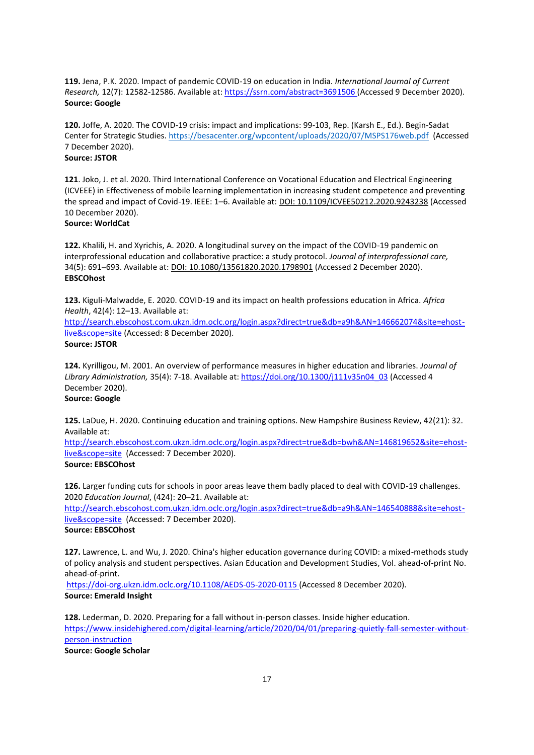**119.** Jena, P.K. 2020. Impact of pandemic COVID-19 on education in India. *International Journal of Current Research,* 12(7): 12582-12586. Available at[: https://ssrn.com/abstract=3691506](https://ssrn.com/abstract=3691506) (Accessed 9 December 2020). **Source: Google**

**120.** Joffe, A. 2020. The COVID-19 crisis: impact and implications: 99-103, Rep. (Karsh E., Ed.). Begin-Sadat Center for Strategic Studies. <https://besacenter.org/wpcontent/uploads/2020/07/MSPS176web.pdf> (Accessed 7 December 2020). **Source: JSTOR**

**121**. Joko, J. et al. 2020. Third International Conference on Vocational Education and Electrical Engineering (ICVEEE) in Effectiveness of mobile learning implementation in increasing student competence and preventing the spread and impact of Covid-19. IEEE: 1–6. Available at: DOI: 10.1109/ICVEE50212.2020.9243238 (Accessed 10 December 2020).

# **Source: WorldCat**

**122.** Khalili, H. and Xyrichis, A. 2020. A longitudinal survey on the impact of the COVID-19 pandemic on interprofessional education and collaborative practice: a study protocol. *Journal of interprofessional care,* 34(5): 691–693. Available at: DOI: 10.1080/13561820.2020.1798901 (Accessed 2 December 2020). **EBSCOhost**

**123.** Kiguli-Malwadde, E. 2020. COVID-19 and its impact on health professions education in Africa. *Africa Health*, 42(4): 12–13. Available at:

[http://search.ebscohost.com.ukzn.idm.oclc.org/login.aspx?direct=true&db=a9h&AN=146662074&site=ehost](http://search.ebscohost.com.ukzn.idm.oclc.org/login.aspx?direct=true&db=a9h&AN=146662074&site=ehost-live&scope=site)[live&scope=site](http://search.ebscohost.com.ukzn.idm.oclc.org/login.aspx?direct=true&db=a9h&AN=146662074&site=ehost-live&scope=site) (Accessed: 8 December 2020).

**Source: JSTOR**

**124.** Kyrilligou, M. 2001. An overview of performance measures in higher education and libraries. *Journal of Library Administration,* 35(4): 7-18. Available at: [https://doi.org/10.1300/j111v35n04\\_03](https://doi.org/10.1300/j111v35n04_03) (Accessed 4 December 2020).

# **Source: Google**

**125.** LaDue, H. 2020. Continuing education and training options. New Hampshire Business Review, 42(21): 32. Available at:

[http://search.ebscohost.com.ukzn.idm.oclc.org/login.aspx?direct=true&db=bwh&AN=146819652&site=ehost](http://search.ebscohost.com.ukzn.idm.oclc.org/login.aspx?direct=true&db=bwh&AN=146819652&site=ehost-live&scope=site)[live&scope=site](http://search.ebscohost.com.ukzn.idm.oclc.org/login.aspx?direct=true&db=bwh&AN=146819652&site=ehost-live&scope=site) (Accessed: 7 December 2020). **Source: EBSCOhost**

**126.** Larger funding cuts for schools in poor areas leave them badly placed to deal with COVID-19 challenges. 2020 *Education Journal*, (424): 20–21. Available at:

[http://search.ebscohost.com.ukzn.idm.oclc.org/login.aspx?direct=true&db=a9h&AN=146540888&site=ehost](http://search.ebscohost.com.ukzn.idm.oclc.org/login.aspx?direct=true&db=a9h&AN=146540888&site=ehost-live&scope=site)[live&scope=site](http://search.ebscohost.com.ukzn.idm.oclc.org/login.aspx?direct=true&db=a9h&AN=146540888&site=ehost-live&scope=site) (Accessed: 7 December 2020).

# **Source: EBSCOhost**

**127.** Lawrence, L. and Wu, J. 2020. China's higher education governance during COVID: a mixed-methods study of policy analysis and student perspectives. Asian Education and Development Studies, Vol. ahead-of-print No. ahead-of-print.

<https://doi-org.ukzn.idm.oclc.org/10.1108/AEDS-05-2020-0115> (Accessed 8 December 2020). **Source: Emerald Insight**

**128.** Lederman, D. 2020. Preparing for a fall without in-person classes. Inside higher education. [https://www.insidehighered.com/digital-learning/article/2020/04/01/preparing-quietly-fall-semester-without](https://www.insidehighered.com/digital-learning/article/2020/04/01/preparing-quietly-fall-semester-without-person-instruction)[person-instruction](https://www.insidehighered.com/digital-learning/article/2020/04/01/preparing-quietly-fall-semester-without-person-instruction) **Source: Google Scholar**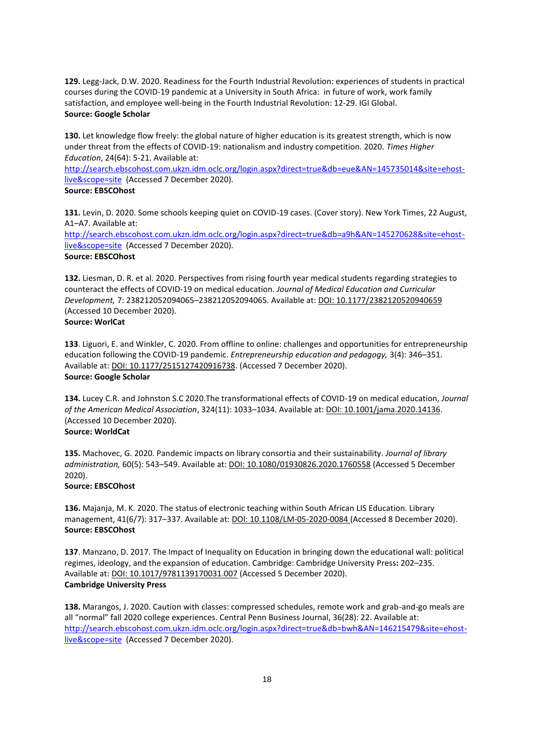**129.** Legg-Jack, D.W. 2020. Readiness for the Fourth Industrial Revolution: experiences of students in practical courses during the COVID-19 pandemic at a University in South Africa: in future of work, work family satisfaction, and employee well-being in the Fourth Industrial Revolution: 12-29. IGI Global. **Source: Google Scholar**

**130.** Let knowledge flow freely: the global nature of higher education is its greatest strength, which is now under threat from the effects of COVID-19: nationalism and industry competition. 2020. *Times Higher Education*, 24(64): 5-21. Available at:

[http://search.ebscohost.com.ukzn.idm.oclc.org/login.aspx?direct=true&db=eue&AN=145735014&site=ehost](http://search.ebscohost.com.ukzn.idm.oclc.org/login.aspx?direct=true&db=eue&AN=145735014&site=ehost-live&scope=site)[live&scope=site](http://search.ebscohost.com.ukzn.idm.oclc.org/login.aspx?direct=true&db=eue&AN=145735014&site=ehost-live&scope=site) (Accessed 7 December 2020).

# **Source: EBSCOhost**

**131.** Levin, D. 2020. Some schools keeping quiet on COVID-19 cases. (Cover story). New York Times, 22 August, A1–A7. Available at:

[http://search.ebscohost.com.ukzn.idm.oclc.org/login.aspx?direct=true&db=a9h&AN=145270628&site=ehost](http://search.ebscohost.com.ukzn.idm.oclc.org/login.aspx?direct=true&db=a9h&AN=145270628&site=ehost-live&scope=site)[live&scope=site](http://search.ebscohost.com.ukzn.idm.oclc.org/login.aspx?direct=true&db=a9h&AN=145270628&site=ehost-live&scope=site) (Accessed 7 December 2020).

# **Source: EBSCOhost**

**132.** Liesman, D. R. et al. 2020. Perspectives from rising fourth year medical students regarding strategies to counteract the effects of COVID-19 on medical education. *Journal of Medical Education and Curricular Development,* 7: 238212052094065–238212052094065. Available at: DOI: 10.1177/2382120520940659 (Accessed 10 December 2020).

# **Source: WorlCat**

**133**. Liguori, E. and Winkler, C. 2020. From offline to online: challenges and opportunities for entrepreneurship education following the COVID-19 pandemic. *Entrepreneurship education and pedagogy,* 3(4): 346–351. Available at: DOI: 10.1177/2515127420916738. (Accessed 7 December 2020). **Source: Google Scholar**

**134.** Lucey C.R. and Johnston S.C 2020.The transformational effects of COVID-19 on medical education, *Journal of the American Medical Association*, 324(11): 1033–1034. Available at: DOI: 10.1001/jama.2020.14136. (Accessed 10 December 2020). **Source: WorldCat**

**135.** Machovec, G. 2020. Pandemic impacts on library consortia and their sustainability. *Journal of library administration,* 60(5): 543–549. Available at: DOI: 10.1080/01930826.2020.1760558 (Accessed 5 December 2020).

# **Source: EBSCOhost**

**136.** Majanja, M. K. 2020. The status of electronic teaching within South African LIS Education. Library management, 41(6/7): 317-337. Available at: **DOI: 10.1108/LM-05-2020-0084** (Accessed 8 December 2020). **Source: EBSCOhost**

**137**. Manzano, D. 2017. The Impact of Inequality on Education in bringing down the educational wall: political regimes, ideology, and the expansion of education. Cambridge: Cambridge University Press**:** 202–235. Available at: DOI: 10.1017/9781139170031.007 (Accessed 5 December 2020). **Cambridge University Press**

**138.** Marangos, J. 2020. Caution with classes: compressed schedules, remote work and grab-and-go meals are all "normal" fall 2020 college experiences. Central Penn Business Journal, 36(28): 22. Available at: [http://search.ebscohost.com.ukzn.idm.oclc.org/login.aspx?direct=true&db=bwh&AN=146215479&site=ehost](http://search.ebscohost.com.ukzn.idm.oclc.org/login.aspx?direct=true&db=bwh&AN=146215479&site=ehost-live&scope=site)[live&scope=site](http://search.ebscohost.com.ukzn.idm.oclc.org/login.aspx?direct=true&db=bwh&AN=146215479&site=ehost-live&scope=site) (Accessed 7 December 2020).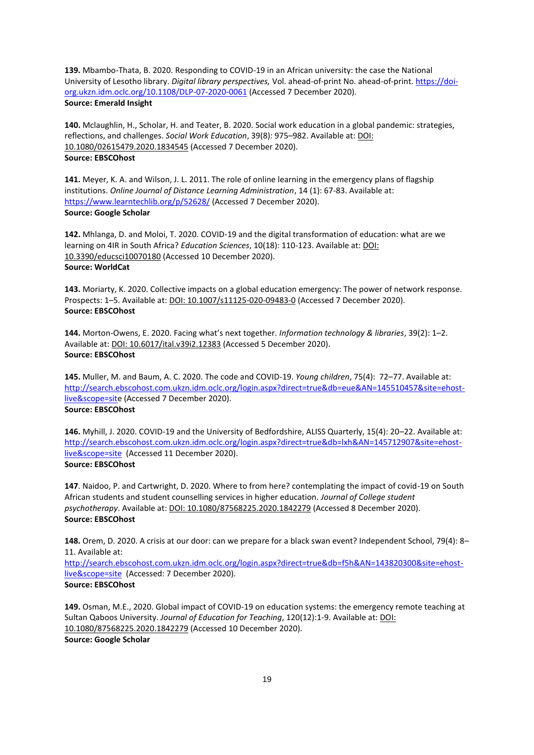**139.** Mbambo-Thata, B. 2020. Responding to COVID-19 in an African university: the case the National University of Lesotho library. *Digital library perspectives,* Vol. ahead-of-print No. ahead-of-print[. https://doi](https://doi-org.ukzn.idm.oclc.org/10.1108/DLP-07-2020-0061)[org.ukzn.idm.oclc.org/10.1108/DLP-07-2020-0061](https://doi-org.ukzn.idm.oclc.org/10.1108/DLP-07-2020-0061) (Accessed 7 December 2020). **Source: Emerald Insight**

**140.** Mclaughlin, H., Scholar, H. and Teater, B. 2020. Social work education in a global pandemic: strategies, reflections, and challenges. *Social Work Education*, 39(8): 975–982. Available at: DOI: 10.1080/02615479.2020.1834545 (Accessed 7 December 2020). **Source: EBSCOhost**

**141.** Meyer, K. A. and Wilson, J. L. 2011. The role of online learning in the emergency plans of flagship institutions. *Online Journal of Distance Learning Administration*, 14 (1): 67-83. Available at: <https://www.learntechlib.org/p/52628/> (Accessed 7 December 2020). **Source: Google Scholar**

**142.** Mhlanga, D. and Moloi, T. 2020. COVID-19 and the digital transformation of education: what are we learning on 4IR in South Africa? *Education Sciences*, 10(18): 110-123. Available at: DOI: 10.3390/educsci10070180 (Accessed 10 December 2020). **Source: WorldCat**

**143.** Moriarty, K. 2020. Collective impacts on a global education emergency: The power of network response. Prospects: 1–5. Available at: DOI: 10.1007/s11125-020-09483-0 (Accessed 7 December 2020). **Source: EBSCOhost**

**144.** Morton-Owens, E. 2020. Facing what's next together. *Information technology & libraries*, 39(2): 1–2. Available at: DOI: 10.6017/ital.v39i2.12383 (Accessed 5 December 2020). **Source: EBSCOhost**

**145.** Muller, M. and Baum, A. C. 2020. The code and COVID-19. *Young children*, 75(4): 72–77. Available at: [http://search.ebscohost.com.ukzn.idm.oclc.org/login.aspx?direct=true&db=eue&AN=145510457&site=ehost](http://search.ebscohost.com.ukzn.idm.oclc.org/login.aspx?direct=true&db=eue&AN=145510457&site=ehost-live&scope=sit)[live&scope=site](http://search.ebscohost.com.ukzn.idm.oclc.org/login.aspx?direct=true&db=eue&AN=145510457&site=ehost-live&scope=sit) (Accessed 7 December 2020). **Source: EBSCOhost**

**146.** Myhill, J. 2020. COVID-19 and the University of Bedfordshire, ALISS Quarterly, 15(4): 20–22. Available at: [http://search.ebscohost.com.ukzn.idm.oclc.org/login.aspx?direct=true&db=lxh&AN=145712907&site=ehost](http://search.ebscohost.com.ukzn.idm.oclc.org/login.aspx?direct=true&db=lxh&AN=145712907&site=ehost-live&scope=site)[live&scope=site](http://search.ebscohost.com.ukzn.idm.oclc.org/login.aspx?direct=true&db=lxh&AN=145712907&site=ehost-live&scope=site) (Accessed 11 December 2020). **Source: EBSCOhost**

**147**. Naidoo, P. and Cartwright, D. 2020. Where to from here? contemplating the impact of covid-19 on South African students and student counselling services in higher education. *Journal of College student psychotherapy*. Available at: DOI: 10.1080/87568225.2020.1842279 (Accessed 8 December 2020). **Source: EBSCOhost**

**148.** Orem, D. 2020. A crisis at our door: can we prepare for a black swan event? Independent School, 79(4): 8– 11. Available at:

[http://search.ebscohost.com.ukzn.idm.oclc.org/login.aspx?direct=true&db=f5h&AN=143820300&site=ehost](http://search.ebscohost.com.ukzn.idm.oclc.org/login.aspx?direct=true&db=f5h&AN=143820300&site=ehost-live&scope=site)[live&scope=site](http://search.ebscohost.com.ukzn.idm.oclc.org/login.aspx?direct=true&db=f5h&AN=143820300&site=ehost-live&scope=site) (Accessed: 7 December 2020). **Source: EBSCOhost**

**149.** Osman, M.E., 2020. Global impact of COVID-19 on education systems: the emergency remote teaching at Sultan Qaboos University. *Journal of Education for Teaching*, 120(12):1-9. Available at: DOI: 10.1080/87568225.2020.1842279 (Accessed 10 December 2020).

**Source: Google Scholar**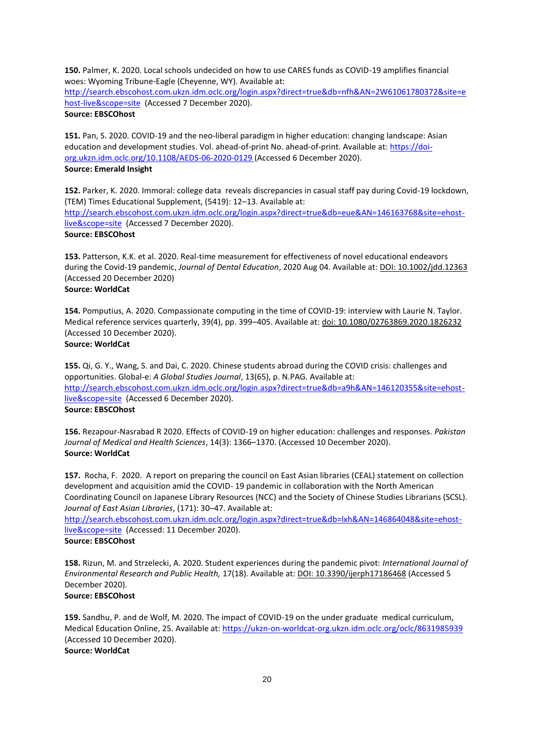**150.** Palmer, K. 2020. Local schools undecided on how to use CARES funds as COVID-19 amplifies financial woes: Wyoming Tribune-Eagle (Cheyenne, WY). Available at: [http://search.ebscohost.com.ukzn.idm.oclc.org/login.aspx?direct=true&db=nfh&AN=2W61061780372&site=e](http://search.ebscohost.com.ukzn.idm.oclc.org/login.aspx?direct=true&db=nfh&AN=2W61061780372&site=ehost-live&scope=site)

[host-live&scope=site](http://search.ebscohost.com.ukzn.idm.oclc.org/login.aspx?direct=true&db=nfh&AN=2W61061780372&site=ehost-live&scope=site) (Accessed 7 December 2020). **Source: EBSCOhost**

**151.** Pan, S. 2020. COVID-19 and the neo-liberal paradigm in higher education: changing landscape: Asian education and development studies. Vol. ahead-of-print No. ahead-of-print. Available at: [https://doi](https://doi-org.ukzn.idm.oclc.org/10.1108/AEDS-06-2020-0129)[org.ukzn.idm.oclc.org/10.1108/AEDS-06-2020-0129](https://doi-org.ukzn.idm.oclc.org/10.1108/AEDS-06-2020-0129) (Accessed 6 December 2020). **Source: Emerald Insight**

**152.** Parker, K. 2020. Immoral: college data reveals discrepancies in casual staff pay during Covid-19 lockdown, (TEM) Times Educational Supplement, (5419): 12–13. Available at: [http://search.ebscohost.com.ukzn.idm.oclc.org/login.aspx?direct=true&db=eue&AN=146163768&site=ehost](http://search.ebscohost.com.ukzn.idm.oclc.org/login.aspx?direct=true&db=eue&AN=146163768&site=ehost-live&scope=site)[live&scope=site](http://search.ebscohost.com.ukzn.idm.oclc.org/login.aspx?direct=true&db=eue&AN=146163768&site=ehost-live&scope=site) (Accessed 7 December 2020). **Source: EBSCOhost**

**153.** Patterson, K.K. et al. 2020. Real-time measurement for effectiveness of novel educational endeavors during the Covid-19 pandemic, *Journal of Dental Education*, 2020 Aug 04. Available at: DOI: 10.1002/jdd.12363 (Accessed 20 December 2020)

# **Source: WorldCat**

**154.** Pomputius, A. 2020. Compassionate computing in the time of COVID-19: interview with Laurie N. Taylor. Medical reference services quarterly, 39(4), pp. 399–405. Available at: doi: 10.1080/02763869.2020.1826232 (Accessed 10 December 2020).

**Source: WorldCat**

**155.** Qi, G. Y., Wang, S. and Dai, C. 2020. Chinese students abroad during the COVID crisis: challenges and opportunities. Global-e: *A Global Studies Journal*, 13(65), p. N.PAG. Available at: [http://search.ebscohost.com.ukzn.idm.oclc.org/login.aspx?direct=true&db=a9h&AN=146120355&site=ehost](http://search.ebscohost.com.ukzn.idm.oclc.org/login.aspx?direct=true&db=a9h&AN=146120355&site=ehost-live&scope=site)[live&scope=site](http://search.ebscohost.com.ukzn.idm.oclc.org/login.aspx?direct=true&db=a9h&AN=146120355&site=ehost-live&scope=site) (Accessed 6 December 2020). **Source: EBSCOhost**

**156.** Rezapour-Nasrabad R 2020. Effects of COVID-19 on higher education: challenges and responses. *Pakistan Journal of Medical and Health Sciences*, 14(3): 1366–1370. (Accessed 10 December 2020). **Source: WorldCat**

**157.** Rocha, F. 2020. A report on preparing the council on East Asian libraries (CEAL) statement on collection development and acquisition amid the COVID- 19 pandemic in collaboration with the North American Coordinating Council on Japanese Library Resources (NCC) and the Society of Chinese Studies Librarians (SCSL). *Journal of East Asian Libraries*, (171): 30–47. Available at:

[http://search.ebscohost.com.ukzn.idm.oclc.org/login.aspx?direct=true&db=lxh&AN=146864048&site=ehost](http://search.ebscohost.com.ukzn.idm.oclc.org/login.aspx?direct=true&db=lxh&AN=146864048&site=ehost-live&scope=site)[live&scope=site](http://search.ebscohost.com.ukzn.idm.oclc.org/login.aspx?direct=true&db=lxh&AN=146864048&site=ehost-live&scope=site) (Accessed: 11 December 2020).

# **Source: EBSCOhost**

**158.** Rizun, M. and Strzelecki, A. 2020. Student experiences during the pandemic pivot: *International Journal of Environmental Research and Public Health,* 17(18). Available at: DOI: 10.3390/ijerph17186468 (Accessed 5 December 2020).

# **Source: EBSCOhost**

**159.** Sandhu, P. and de Wolf, M. 2020. The impact of COVID-19 on the under graduate medical curriculum, Medical Education Online, 25. Available at:<https://ukzn-on-worldcat-org.ukzn.idm.oclc.org/oclc/8631985939> (Accessed 10 December 2020). **Source: WorldCat**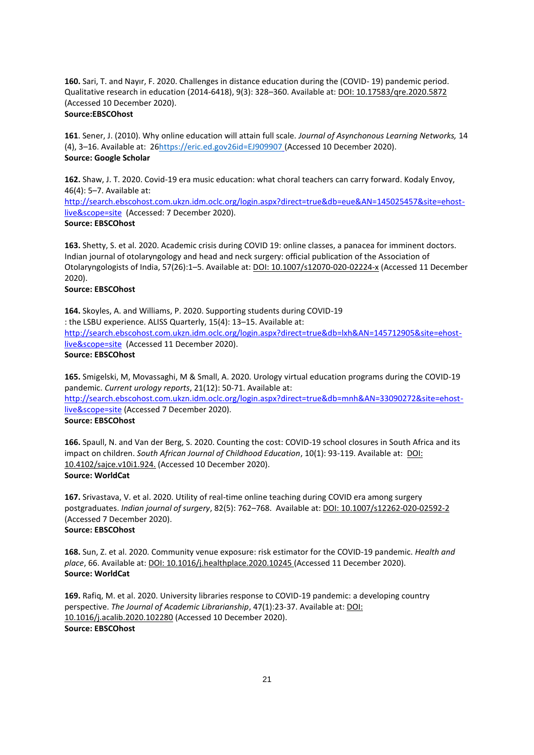**160.** Sari, T. and Nayır, F. 2020. Challenges in distance education during the (COVID- 19) pandemic period. Qualitative research in education (2014-6418), 9(3): 328–360. Available at: DOI: 10.17583/qre.2020.5872 (Accessed 10 December 2020). **Source:EBSCOhost**

**161**. Sener, J. (2010). Why online education will attain full scale. *Journal of Asynchonous Learning Networks,* 14 (4), 3–16. Available at: 2[6https://eric.ed.gov26id=EJ909907](https://eric.ed.gov26id=ej909907/) (Accessed 10 December 2020). **Source: Google Scholar** 

**162.** Shaw, J. T. 2020. Covid-19 era music education: what choral teachers can carry forward. Kodaly Envoy, 46(4): 5–7. Available at:

[http://search.ebscohost.com.ukzn.idm.oclc.org/login.aspx?direct=true&db=eue&AN=145025457&site=ehost](http://search.ebscohost.com.ukzn.idm.oclc.org/login.aspx?direct=true&db=eue&AN=145025457&site=ehost-live&scope=site)[live&scope=site](http://search.ebscohost.com.ukzn.idm.oclc.org/login.aspx?direct=true&db=eue&AN=145025457&site=ehost-live&scope=site) (Accessed: 7 December 2020).

# **Source: EBSCOhost**

**163.** Shetty, S. et al. 2020. Academic crisis during COVID 19: online classes, a panacea for imminent doctors. Indian journal of otolaryngology and head and neck surgery: official publication of the Association of Otolaryngologists of India, 57(26):1-5. Available at: DOI: 10.1007/s12070-020-02224-x (Accessed 11 December 2020).

## **Source: EBSCOhost**

**164.** Skoyles, A. and Williams, P. 2020. Supporting students during COVID-19 : the LSBU experience. ALISS Quarterly, 15(4): 13–15. Available at: [http://search.ebscohost.com.ukzn.idm.oclc.org/login.aspx?direct=true&db=lxh&AN=145712905&site=ehost](http://search.ebscohost.com.ukzn.idm.oclc.org/login.aspx?direct=true&db=lxh&AN=145712905&site=ehost-live&scope=site)[live&scope=site](http://search.ebscohost.com.ukzn.idm.oclc.org/login.aspx?direct=true&db=lxh&AN=145712905&site=ehost-live&scope=site) (Accessed 11 December 2020). **Source: EBSCOhost**

**165.** Smigelski, M, Movassaghi, M & Small, A. 2020. Urology virtual education programs during the COVID-19 pandemic. *Current urology reports*, 21(12): 50-71. Available at:

[http://search.ebscohost.com.ukzn.idm.oclc.org/login.aspx?direct=true&db=mnh&AN=33090272&site=ehost](http://search.ebscohost.com.ukzn.idm.oclc.org/login.aspx?direct=true&db=mnh&AN=33090272&site=ehost-live&scope=site)[live&scope=site](http://search.ebscohost.com.ukzn.idm.oclc.org/login.aspx?direct=true&db=mnh&AN=33090272&site=ehost-live&scope=site) (Accessed 7 December 2020).

# **Source: EBSCOhost**

**166.** Spaull, N. and Van der Berg, S. 2020. Counting the cost: COVID-19 school closures in South Africa and its impact on children. *South African Journal of Childhood Education*, 10(1): 93-119. Available at: DOI: 10.4102/sajce.v10i1.924. (Accessed 10 December 2020). **Source: WorldCat**

**167.** Srivastava, V. et al. 2020. Utility of real-time online teaching during COVID era among surgery postgraduates. *Indian journal of surgery*, 82(5): 762–768. Available at: DOI: 10.1007/s12262-020-02592-2 (Accessed 7 December 2020). **Source: EBSCOhost** 

**168.** Sun, Z. et al. 2020. Community venue exposure: risk estimator for the COVID-19 pandemic. *Health and place*, 66. Available at: DOI: 10.1016/j.healthplace.2020.10245 (Accessed 11 December 2020). **Source: WorldCat**

**169.** Rafiq, M. et al. 2020. University libraries response to COVID-19 pandemic: a developing country perspective. *The Journal of Academic Librarianship*, 47(1):23-37. Available at: DOI: 10.1016/j.acalib.2020.102280 (Accessed 10 December 2020). **Source: EBSCOhost**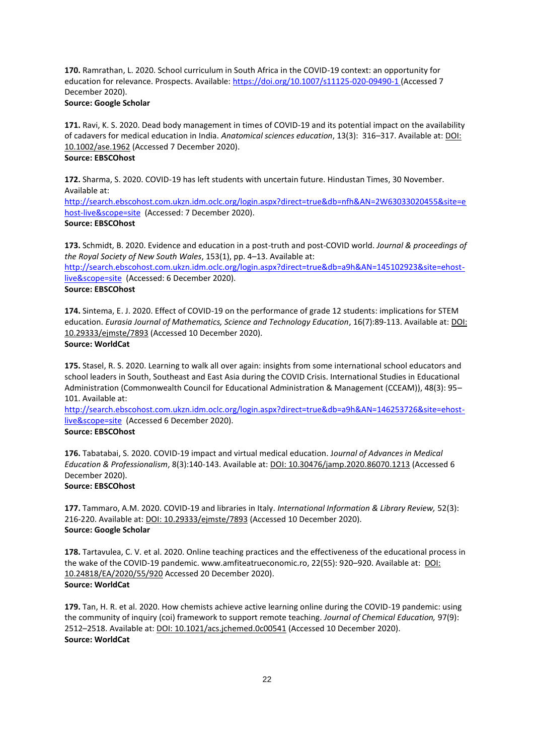**170.** Ramrathan, L. 2020. School curriculum in South Africa in the COVID-19 context: an opportunity for education for relevance. Prospects. Available[: https://doi.org/10.1007/s11125-020-09490-1](https://doi.org/10.1007/s11125-020-09490-1) (Accessed 7 December 2020).

# **Source: Google Scholar**

**171.** Ravi, K. S. 2020. Dead body management in times of COVID-19 and its potential impact on the availability of cadavers for medical education in India. *Anatomical sciences education*, 13(3): 316–317. Available at: DOI: 10.1002/ase.1962 (Accessed 7 December 2020). **Source: EBSCOhost**

**172.** Sharma, S. 2020. COVID-19 has left students with uncertain future. Hindustan Times, 30 November. Available at:

[http://search.ebscohost.com.ukzn.idm.oclc.org/login.aspx?direct=true&db=nfh&AN=2W63033020455&site=e](http://search.ebscohost.com.ukzn.idm.oclc.org/login.aspx?direct=true&db=nfh&AN=2W63033020455&site=ehost-live&scope=site) [host-live&scope=site](http://search.ebscohost.com.ukzn.idm.oclc.org/login.aspx?direct=true&db=nfh&AN=2W63033020455&site=ehost-live&scope=site) (Accessed: 7 December 2020). **Source: EBSCOhost**

**173.** Schmidt, B. 2020. Evidence and education in a post-truth and post-COVID world. *Journal & proceedings of the Royal Society of New South Wales*, 153(1), pp. 4–13. Available at:

[http://search.ebscohost.com.ukzn.idm.oclc.org/login.aspx?direct=true&db=a9h&AN=145102923&site=ehost](http://search.ebscohost.com.ukzn.idm.oclc.org/login.aspx?direct=true&db=a9h&AN=145102923&site=ehost-live&scope=site)[live&scope=site](http://search.ebscohost.com.ukzn.idm.oclc.org/login.aspx?direct=true&db=a9h&AN=145102923&site=ehost-live&scope=site) (Accessed: 6 December 2020).

# **Source: EBSCOhost**

**174.** Sintema, E. J. 2020. Effect of COVID-19 on the performance of grade 12 students: implications for STEM education. *Eurasia Journal of Mathematics, Science and Technology Education*, 16(7):89-113. Available at: DOI: 10.29333/ejmste/7893 (Accessed 10 December 2020). **Source: WorldCat**

**175.** Stasel, R. S. 2020. Learning to walk all over again: insights from some international school educators and school leaders in South, Southeast and East Asia during the COVID Crisis. International Studies in Educational Administration (Commonwealth Council for Educational Administration & Management (CCEAM)), 48(3): 95–

#### 101. Available at:

[http://search.ebscohost.com.ukzn.idm.oclc.org/login.aspx?direct=true&db=a9h&AN=146253726&site=ehost](http://search.ebscohost.com.ukzn.idm.oclc.org/login.aspx?direct=true&db=a9h&AN=146253726&site=ehost-live&scope=site)[live&scope=site](http://search.ebscohost.com.ukzn.idm.oclc.org/login.aspx?direct=true&db=a9h&AN=146253726&site=ehost-live&scope=site) (Accessed 6 December 2020).

# **Source: EBSCOhost**

**176.** Tabatabai, S. 2020. COVID-19 impact and virtual medical education. J*ournal of Advances in Medical Education & Professionalism*, 8(3):140-143. Available at: DOI: 10.30476/jamp.2020.86070.1213 (Accessed 6 December 2020).

# **Source: EBSCOhost**

**177.** Tammaro, A.M. 2020. COVID-19 and libraries in Italy. *International Information & Library Review,* 52(3): 216-220. Available at: DOI: 10.29333/ejmste/7893 (Accessed 10 December 2020). **Source: Google Scholar**

**178.** Tartavulea, C. V. et al. 2020. Online teaching practices and the effectiveness of the educational process in the wake of the COVID-19 pandemic. www.amfiteatrueconomic.ro, 22(55): 920-920. Available at: DOI: 10.24818/EA/2020/55/920 Accessed 20 December 2020). **Source: WorldCat**

**179.** Tan, H. R. et al. 2020. How chemists achieve active learning online during the COVID-19 pandemic: using the community of inquiry (coi) framework to support remote teaching. *Journal of Chemical Education,* 97(9): 2512–2518. Available at: DOI: 10.1021/acs.jchemed.0c00541 (Accessed 10 December 2020). **Source: WorldCat**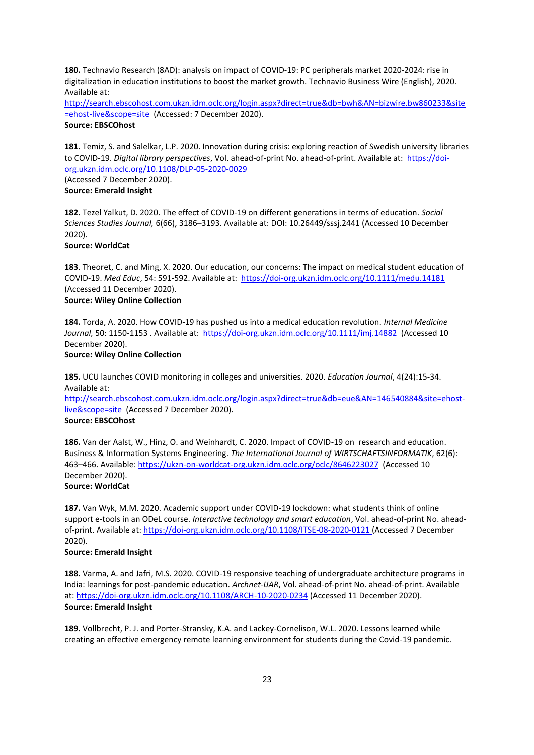**180.** Technavio Research (8AD): analysis on impact of COVID-19: PC peripherals market 2020-2024: rise in digitalization in education institutions to boost the market growth. Technavio Business Wire (English), 2020. Available at:

[http://search.ebscohost.com.ukzn.idm.oclc.org/login.aspx?direct=true&db=bwh&AN=bizwire.bw860233&site](http://search.ebscohost.com.ukzn.idm.oclc.org/login.aspx?direct=true&db=bwh&AN=bizwire.bw860233&site=ehost-live&scope=site) [=ehost-live&scope=site](http://search.ebscohost.com.ukzn.idm.oclc.org/login.aspx?direct=true&db=bwh&AN=bizwire.bw860233&site=ehost-live&scope=site) (Accessed: 7 December 2020). **Source: EBSCOhost**

**181.** Temiz, S. and Salelkar, L.P. 2020. Innovation during crisis: exploring reaction of Swedish university libraries to COVID-19. *Digital library perspectives*, Vol. ahead-of-print No. ahead-of-print. Available at: [https://doi](https://doi-org.ukzn.idm.oclc.org/10.1108/DLP-05-2020-0029)[org.ukzn.idm.oclc.org/10.1108/DLP-05-2020-0029](https://doi-org.ukzn.idm.oclc.org/10.1108/DLP-05-2020-0029)

(Accessed 7 December 2020). **Source: Emerald Insight**

**182.** Tezel Yalkut, D. 2020. The effect of COVID-19 on different generations in terms of education. *Social Sciences Studies Journal,* 6(66), 3186–3193. Available at: DOI: 10.26449/sssj.2441 (Accessed 10 December 2020).

**Source: WorldCat**

**183**. Theoret, C. and Ming, X. 2020. Our education, our concerns: The impact on medical student education of COVID‐19. *Med Educ*, 54: 591-592. Available at: <https://doi-org.ukzn.idm.oclc.org/10.1111/medu.14181> (Accessed 11 December 2020).

# **Source: Wiley Online Collection**

**184.** Torda, A. 2020. How COVID‐19 has pushed us into a medical education revolution. *Internal Medicine*  Journal, 50: 1150-1153 . Available at:<https://doi-org.ukzn.idm.oclc.org/10.1111/imj.14882>(Accessed 10 December 2020).

# **Source: Wiley Online Collection**

**185.** UCU launches COVID monitoring in colleges and universities. 2020. *Education Journal*, 4(24):15-34. Available at:

[http://search.ebscohost.com.ukzn.idm.oclc.org/login.aspx?direct=true&db=eue&AN=146540884&site=ehost](http://search.ebscohost.com.ukzn.idm.oclc.org/login.aspx?direct=true&db=eue&AN=146540884&site=ehost-live&scope=site)[live&scope=site](http://search.ebscohost.com.ukzn.idm.oclc.org/login.aspx?direct=true&db=eue&AN=146540884&site=ehost-live&scope=site) (Accessed 7 December 2020). **Source: EBSCOhost**

**186.** Van der Aalst, W., Hinz, O. and Weinhardt, C. 2020. Impact of COVID-19 on research and education. Business & Information Systems Engineering. *The International Journal of WIRTSCHAFTSINFORMATIK*, 62(6): 463–466. Available:<https://ukzn-on-worldcat-org.ukzn.idm.oclc.org/oclc/8646223027>(Accessed 10 December 2020).

# **Source: WorldCat**

**187.** Van Wyk, M.M. 2020. Academic support under COVID-19 lockdown: what students think of online support e-tools in an ODeL course. *Interactive technology and smart education*, Vol. ahead-of-print No. aheadof-print. Available at:<https://doi-org.ukzn.idm.oclc.org/10.1108/ITSE-08-2020-0121> (Accessed 7 December 2020).

# **Source: Emerald Insight**

**188.** Varma, A. and Jafri, M.S. 2020. COVID-19 responsive teaching of undergraduate architecture programs in India: learnings for post-pandemic education. *Archnet-IJAR*, Vol. ahead-of-print No. ahead-of-print. Available at:<https://doi-org.ukzn.idm.oclc.org/10.1108/ARCH-10-2020-0234> (Accessed 11 December 2020). **Source: Emerald Insight**

**189.** Vollbrecht, P. J. and Porter-Stransky, K.A. and Lackey-Cornelison, W.L. 2020. Lessons learned while creating an effective emergency remote learning environment for students during the Covid-19 pandemic.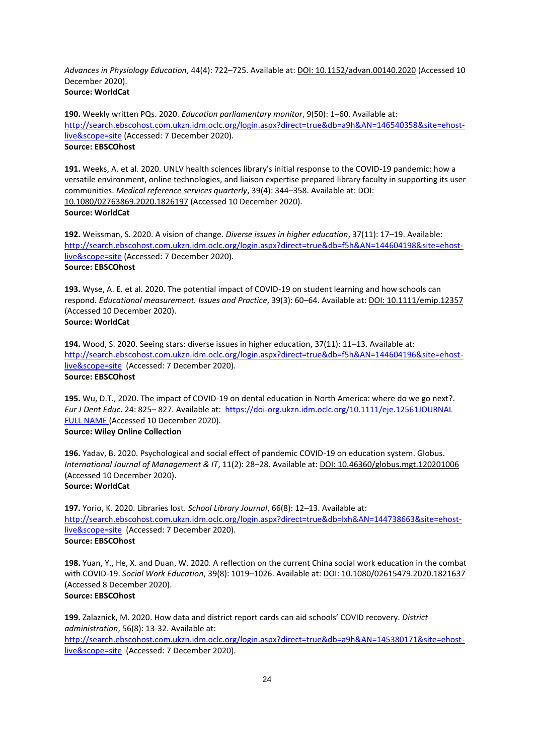*Advances in Physiology Education*, 44(4): 722–725. Available at: DOI: 10.1152/advan.00140.2020 (Accessed 10 December 2020). **Source: WorldCat**

**190.** Weekly written PQs. 2020. *Education parliamentary monitor*, 9(50): 1–60. Available at: [http://search.ebscohost.com.ukzn.idm.oclc.org/login.aspx?direct=true&db=a9h&AN=146540358&site=ehost](http://search.ebscohost.com.ukzn.idm.oclc.org/login.aspx?direct=true&db=a9h&AN=146540358&site=ehost-live&scope=site)[live&scope=site](http://search.ebscohost.com.ukzn.idm.oclc.org/login.aspx?direct=true&db=a9h&AN=146540358&site=ehost-live&scope=site) (Accessed: 7 December 2020). **Source: EBSCOhost**

**191.** Weeks, A. et al. 2020. UNLV health sciences library's initial response to the COVID-19 pandemic: how a versatile environment, online technologies, and liaison expertise prepared library faculty in supporting its user communities. *Medical reference services quarterly*, 39(4): 344–358. Available at: DOI: 10.1080/02763869.2020.1826197 (Accessed 10 December 2020). **Source: WorldCat**

**192.** Weissman, S. 2020. A vision of change. *Diverse issues in higher education*, 37(11): 17–19. Available: [http://search.ebscohost.com.ukzn.idm.oclc.org/login.aspx?direct=true&db=f5h&AN=144604198&site=ehost](http://search.ebscohost.com.ukzn.idm.oclc.org/login.aspx?direct=true&db=f5h&AN=144604198&site=ehost-live&scope=site)[live&scope=site](http://search.ebscohost.com.ukzn.idm.oclc.org/login.aspx?direct=true&db=f5h&AN=144604198&site=ehost-live&scope=site) (Accessed: 7 December 2020). **Source: EBSCOhost**

**193.** Wyse, A. E. et al. 2020. The potential impact of COVID-19 on student learning and how schools can respond. *Educational measurement. Issues and Practice*, 39(3): 60–64. Available at: DOI: 10.1111/emip.12357 (Accessed 10 December 2020). **Source: WorldCat**

**194.** Wood, S. 2020. Seeing stars: diverse issues in higher education, 37(11): 11–13. Available at: [http://search.ebscohost.com.ukzn.idm.oclc.org/login.aspx?direct=true&db=f5h&AN=144604196&site=ehost](http://search.ebscohost.com.ukzn.idm.oclc.org/login.aspx?direct=true&db=f5h&AN=144604196&site=ehost-live&scope=site)[live&scope=site](http://search.ebscohost.com.ukzn.idm.oclc.org/login.aspx?direct=true&db=f5h&AN=144604196&site=ehost-live&scope=site) (Accessed: 7 December 2020). **Source: EBSCOhost**

**195.** Wu, D.T., 2020. The impact of COVID‐19 on dental education in North America: where do we go next?. *Eur J Dent Educ*. 24: 825– 827. Available at: <https://doi-org.ukzn.idm.oclc.org/10.1111/eje.12561JOURNAL> FULL NAME (Accessed 10 December 2020). **Source: Wiley Online Collection**

**196.** Yadav, B. 2020. Psychological and social effect of pandemic COVID-19 on education system. Globus. *International Journal of Management & IT*, 11(2): 28–28. Available at: DOI: 10.46360/globus.mgt.120201006 (Accessed 10 December 2020).

# **Source: WorldCat**

**197.** Yorio, K. 2020. Libraries lost. *School Library Journal*, 66(8): 12–13. Available at: [http://search.ebscohost.com.ukzn.idm.oclc.org/login.aspx?direct=true&db=lxh&AN=144738663&site=ehost](http://search.ebscohost.com.ukzn.idm.oclc.org/login.aspx?direct=true&db=lxh&AN=144738663&site=ehost-live&scope=site)[live&scope=site](http://search.ebscohost.com.ukzn.idm.oclc.org/login.aspx?direct=true&db=lxh&AN=144738663&site=ehost-live&scope=site) (Accessed: 7 December 2020). **Source: EBSCOhost**

**198.** Yuan, Y., He, X. and Duan, W. 2020. A reflection on the current China social work education in the combat with COVID-19. *Social Work Education*, 39(8): 1019–1026. Available at: DOI: 10.1080/02615479.2020.1821637 (Accessed 8 December 2020). **Source: EBSCOhost**

**199.** Zalaznick, M. 2020. How data and district report cards can aid schools' COVID recovery. *District administration*, 56(8): 13-32. Available at:

[http://search.ebscohost.com.ukzn.idm.oclc.org/login.aspx?direct=true&db=a9h&AN=145380171&site=ehost](http://search.ebscohost.com.ukzn.idm.oclc.org/login.aspx?direct=true&db=a9h&AN=145380171&site=ehost-live&scope=site)[live&scope=site](http://search.ebscohost.com.ukzn.idm.oclc.org/login.aspx?direct=true&db=a9h&AN=145380171&site=ehost-live&scope=site) (Accessed: 7 December 2020).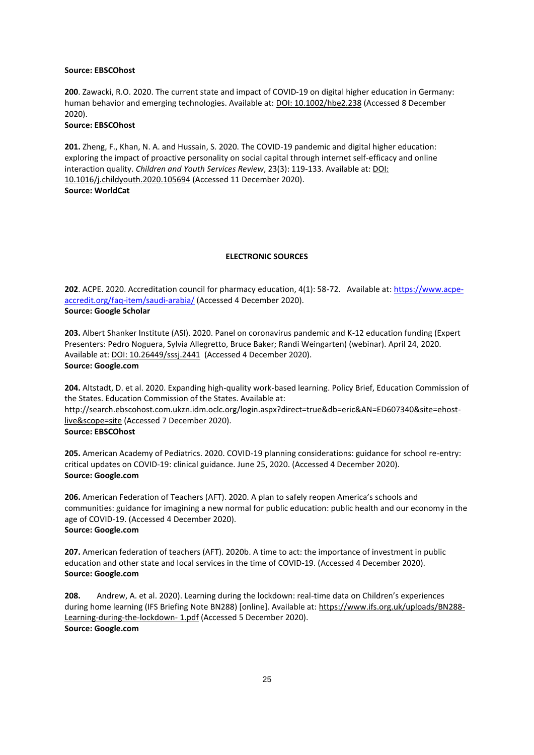#### **Source: EBSCOhost**

**200**. Zawacki, R.O. 2020. The current state and impact of COVID‐19 on digital higher education in Germany: human behavior and emerging technologies. Available at: **DOI: 10.1002/hbe2.238** (Accessed 8 December 2020).

#### **Source: EBSCOhost**

**201.** Zheng, F., Khan, N. A. and Hussain, S. 2020. The COVID-19 pandemic and digital higher education: exploring the impact of proactive personality on social capital through internet self-efficacy and online interaction quality. *Children and Youth Services Review*, 23(3): 119-133. Available at: DOI: 10.1016/j.childyouth.2020.105694 (Accessed 11 December 2020). **Source: WorldCat**

#### **ELECTRONIC SOURCES**

**202**. ACPE. 2020. Accreditation council for pharmacy education, 4(1): 58-72. Available at: [https://www.acpe](https://www.acpe-accredit.org/faq-item/saudi-arabia/)[accredit.org/faq-item/saudi-arabia/](https://www.acpe-accredit.org/faq-item/saudi-arabia/) (Accessed 4 December 2020). **Source: Google Scholar**

**203.** Albert Shanker Institute (ASI). 2020. Panel on coronavirus pandemic and K-12 education funding (Expert Presenters: Pedro Noguera, Sylvia Allegretto, Bruce Baker; Randi Weingarten) (webinar). April 24, 2020. Available at: DOI: 10.26449/sssj.2441 (Accessed 4 December 2020). **Source: Google.com**

**204.** Altstadt, D. et al. 2020. Expanding high-quality work-based learning. Policy Brief, Education Commission of the States. Education Commission of the States. Available at:

http://search.ebscohost.com.ukzn.idm.oclc.org/login.aspx?direct=true&db=eric&AN=ED607340&site=ehostlive&scope=site (Accessed 7 December 2020). **Source: EBSCOhost**

**205.** American Academy of Pediatrics. 2020. COVID-19 planning considerations: guidance for school re-entry: critical updates on COVID-19: clinical guidance. June 25, 2020. (Accessed 4 December 2020). **Source: Google.com**

**206.** American Federation of Teachers (AFT). 2020. A plan to safely reopen America's schools and communities: guidance for imagining a new normal for public education: public health and our economy in the age of COVID-19. (Accessed 4 December 2020). **Source: Google.com**

**207.** American federation of teachers (AFT). 2020b. A time to act: the importance of investment in public education and other state and local services in the time of COVID-19. (Accessed 4 December 2020). **Source: Google.com**

**208.** Andrew, A. et al. 2020). Learning during the lockdown: real-time data on Children's experiences during home learning (IFS Briefing Note BN288) [online]. Available at: https://www.ifs.org.uk/uploads/BN288- Learning-during-the-lockdown- 1.pdf (Accessed 5 December 2020). **Source: Google.com**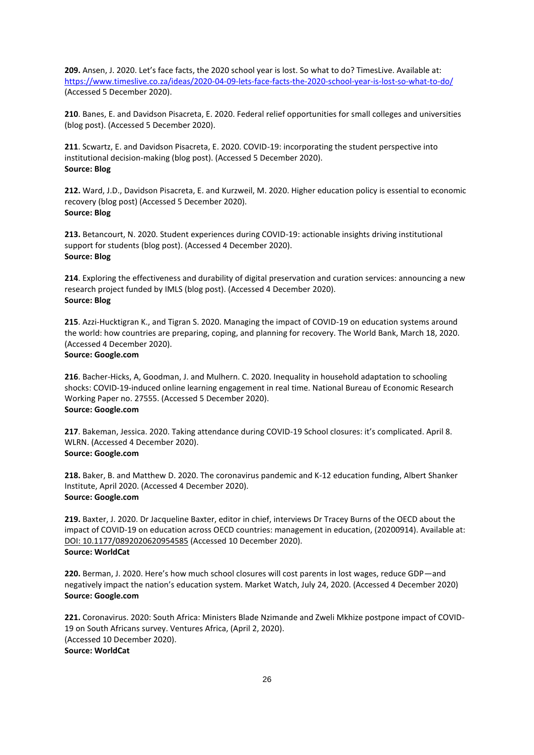**209.** Ansen, J. 2020. Let's face facts, the 2020 school year is lost. So what to do? TimesLive. Available at: <https://www.timeslive.co.za/ideas/2020-04-09-lets-face-facts-the-2020-school-year-is-lost-so-what-to-do/> (Accessed 5 December 2020).

**210**. Banes, E. and Davidson Pisacreta, E. 2020. Federal relief opportunities for small colleges and universities (blog post). (Accessed 5 December 2020).

**211**. Scwartz, E. and Davidson Pisacreta, E. 2020. COVID-19: incorporating the student perspective into institutional decision-making (blog post). (Accessed 5 December 2020). **Source: Blog**

**212.** Ward, J.D., Davidson Pisacreta, E. and Kurzweil, M. 2020. Higher education policy is essential to economic recovery (blog post) (Accessed 5 December 2020). **Source: Blog**

**213.** Betancourt, N. 2020. Student experiences during COVID-19: actionable insights driving institutional support for students (blog post). (Accessed 4 December 2020). **Source: Blog**

**214**. Exploring the effectiveness and durability of digital preservation and curation services: announcing a new research project funded by IMLS (blog post). (Accessed 4 December 2020). **Source: Blog**

**215**. Azzi-Hucktigran K., and Tigran S. 2020. Managing the impact of COVID-19 on education systems around the world: how countries are preparing, coping, and planning for recovery. The World Bank, March 18, 2020. (Accessed 4 December 2020).

# **Source: Google.com**

**216**. Bacher-Hicks, A, Goodman, J. and Mulhern. C. 2020. Inequality in household adaptation to schooling shocks: COVID-19-induced online learning engagement in real time. National Bureau of Economic Research Working Paper no. 27555. (Accessed 5 December 2020). **Source: Google.com**

**217**. Bakeman, Jessica. 2020. Taking attendance during COVID-19 School closures: it's complicated. April 8. WLRN. (Accessed 4 December 2020). **Source: Google.com**

**218.** Baker, B. and Matthew D. 2020. The coronavirus pandemic and K-12 education funding, Albert Shanker Institute, April 2020. (Accessed 4 December 2020). **Source: Google.com**

**219.** Baxter, J. 2020. Dr Jacqueline Baxter, editor in chief, interviews Dr Tracey Burns of the OECD about the impact of COVID-19 on education across OECD countries: management in education, (20200914). Available at: DOI: 10.1177/0892020620954585 (Accessed 10 December 2020). **Source: WorldCat**

**220.** Berman, J. 2020. Here's how much school closures will cost parents in lost wages, reduce GDP—and negatively impact the nation's education system. Market Watch, July 24, 2020. (Accessed 4 December 2020) **Source: Google.com**

**221.** Coronavirus. 2020: South Africa: Ministers Blade Nzimande and Zweli Mkhize postpone impact of COVID-19 on South Africans survey. Ventures Africa, (April 2, 2020). (Accessed 10 December 2020). **Source: WorldCat**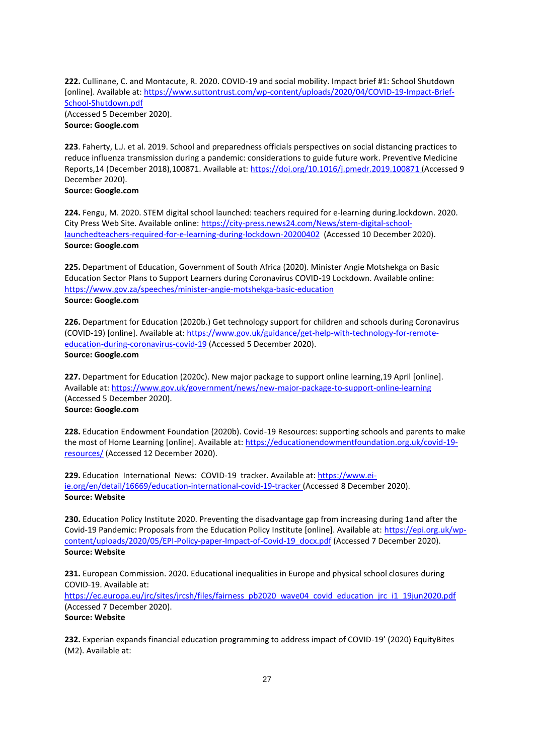**222.** Cullinane, C. and Montacute, R. 2020. COVID-19 and social mobility. Impact brief #1: School Shutdown [online]. Available at[: https://www.suttontrust.com/wp-content/uploads/2020/04/COVID-19-Impact-Brief-](https://www.suttontrust.com/wp-content/uploads/2020/04/COVID-19-Impact-Brief-School-Shutdown.pdf)[School-Shutdown.pdf](https://www.suttontrust.com/wp-content/uploads/2020/04/COVID-19-Impact-Brief-School-Shutdown.pdf) (Accessed 5 December 2020). **Source: Google.com**

**223**. Faherty, L.J. et al. 2019. School and preparedness officials perspectives on social distancing practices to reduce influenza transmission during a pandemic: considerations to guide future work. Preventive Medicine Reports,14 (December 2018),100871. Available at:<https://doi.org/10.1016/j.pmedr.2019.100871> (Accessed 9 December 2020).

**Source: Google.com**

**224.** Fengu, M. 2020. STEM digital school launched: teachers required for e-learning during.lockdown. 2020. City Press Web Site. Available online[: https://city-press.news24.com/News/stem-digital-school](https://city-press.news24.com/News/stem-digital-school-launchedteachers-required-for-e-learning-during-lockdown-20200402)[launchedteachers-required-for-e-learning-during-lockdown-20200402](https://city-press.news24.com/News/stem-digital-school-launchedteachers-required-for-e-learning-during-lockdown-20200402) (Accessed 10 December 2020). **Source: Google.com**

**225.** Department of Education, Government of South Africa (2020). Minister Angie Motshekga on Basic Education Sector Plans to Support Learners during Coronavirus COVID-19 Lockdown. Available online: <https://www.gov.za/speeches/minister-angie-motshekga-basic-education> **Source: Google.com**

**226.** Department for Education (2020b.) Get technology support for children and schools during Coronavirus (COVID-19) [online]. Available at[: https://www.gov.uk/guidance/get-help-with-technology-for-remote](https://www.gov.uk/guidance/get-help-with-technology-for-remote-education-during-coronavirus-covid-19)[education-during-coronavirus-covid-19](https://www.gov.uk/guidance/get-help-with-technology-for-remote-education-during-coronavirus-covid-19) (Accessed 5 December 2020). **Source: Google.com**

**227.** Department for Education (2020c). New major package to support online learning,19 April [online]. Available at[: https://www.gov.uk/government/news/new-major-package-to-support-online-learning](https://www.gov.uk/government/news/new-major-package-to-support-online-learning) (Accessed 5 December 2020). **Source: Google.com**

**228.** Education Endowment Foundation (2020b). Covid-19 Resources: supporting schools and parents to make the most of Home Learning [online]. Available at: [https://educationendowmentfoundation.org.uk/covid-19](https://educationendowmentfoundation.org.uk/covid-19-resources/) [resources/](https://educationendowmentfoundation.org.uk/covid-19-resources/) (Accessed 12 December 2020).

**229.** Education International News: COVID-19 tracker. Available at: [https://www.ei](https://www.ei-ie.org/en/detail/16669/education-international-covid-19-tracker)[ie.org/en/detail/16669/education-international-covid-19-tracker](https://www.ei-ie.org/en/detail/16669/education-international-covid-19-tracker) (Accessed 8 December 2020). **Source: Website**

**230.** Education Policy Institute 2020. Preventing the disadvantage gap from increasing during 1and after the Covid-19 Pandemic: Proposals from the Education Policy Institute [online]. Available at: [https://epi.org.uk/wp](https://epi.org.uk/wp-content/uploads/2020/05/EPI-Policy-paper-Impact-of-Covid-19_docx.pdf)[content/uploads/2020/05/EPI-Policy-paper-Impact-of-Covid-19\\_docx.pdf](https://epi.org.uk/wp-content/uploads/2020/05/EPI-Policy-paper-Impact-of-Covid-19_docx.pdf) (Accessed 7 December 2020). **Source: Website**

**231.** European Commission. 2020. Educational inequalities in Europe and physical school closures during COVID-19. Available at:

[https://ec.europa.eu/jrc/sites/jrcsh/files/fairness\\_pb2020\\_wave04\\_covid\\_education\\_jrc\\_i1\\_19jun2020.pdf](https://ec.europa.eu/jrc/sites/jrcsh/files/fairness_pb2020_wave04_covid_education_jrc_i1_19jun2020.pdf) (Accessed 7 December 2020).

# **Source: Website**

**232.** Experian expands financial education programming to address impact of COVID-19' (2020) EquityBites (M2). Available at: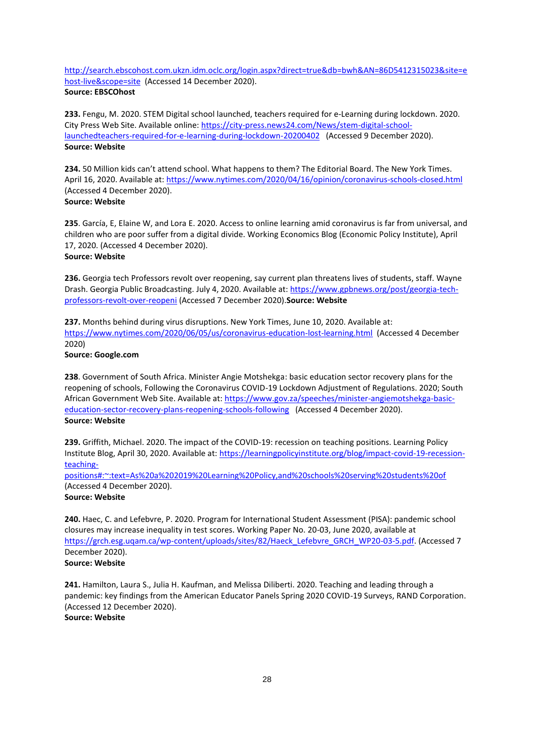[http://search.ebscohost.com.ukzn.idm.oclc.org/login.aspx?direct=true&db=bwh&AN=86D5412315023&site=e](http://search.ebscohost.com.ukzn.idm.oclc.org/login.aspx?direct=true&db=bwh&AN=86D5412315023&site=ehost-live&scope=site) [host-live&scope=site](http://search.ebscohost.com.ukzn.idm.oclc.org/login.aspx?direct=true&db=bwh&AN=86D5412315023&site=ehost-live&scope=site) (Accessed 14 December 2020). **Source: EBSCOhost**

**233.** Fengu, M. 2020. STEM Digital school launched, teachers required for e-Learning during lockdown. 2020. City Press Web Site. Available online[: https://city-press.news24.com/News/stem-digital-school](https://city-press.news24.com/News/stem-digital-school-launchedteachers-required-for-e-learning-during-lockdown-20200402)[launchedteachers-required-for-e-learning-during-lockdown-20200402](https://city-press.news24.com/News/stem-digital-school-launchedteachers-required-for-e-learning-during-lockdown-20200402) (Accessed 9 December 2020). **Source: Website**

**234.** 50 Million kids can't attend school. What happens to them? The Editorial Board. The New York Times. April 16, 2020. Available at[: https://www.nytimes.com/2020/04/16/opinion/coronavirus-schools-closed.html](https://www.nytimes.com/2020/04/16/opinion/coronavirus-schools-closed.html) (Accessed 4 December 2020). **Source: Website**

**235**. García, E, Elaine W, and Lora E. 2020. Access to online learning amid coronavirus is far from universal, and children who are poor suffer from a digital divide. Working Economics Blog (Economic Policy Institute), April 17, 2020. (Accessed 4 December 2020).

# **Source: Website**

**236.** Georgia tech Professors revolt over reopening, say current plan threatens lives of students, staff. Wayne Drash. Georgia Public Broadcasting. July 4, 2020. Available at[: https://www.gpbnews.org/post/georgia-tech](https://www.gpbnews.org/post/georgia-tech-professors-revolt-over-reopeni)[professors-revolt-over-reopeni](https://www.gpbnews.org/post/georgia-tech-professors-revolt-over-reopeni) (Accessed 7 December 2020).**Source: Website** 

**237.** Months behind during virus disruptions. New York Times, June 10, 2020. Available at: <https://www.nytimes.com/2020/06/05/us/coronavirus-education-lost-learning.html>(Accessed 4 December 2020) **Source: Google.com**

**238**. Government of South Africa. Minister Angie Motshekga: basic education sector recovery plans for the reopening of schools, Following the Coronavirus COVID-19 Lockdown Adjustment of Regulations. 2020; South African Government Web Site. Available at[: https://www.gov.za/speeches/minister-angiemotshekga-basic](https://www.gov.za/speeches/minister-angiemotshekga-basic-education-sector-recovery-plans-reopening-schools-following)[education-sector-recovery-plans-reopening-schools-following](https://www.gov.za/speeches/minister-angiemotshekga-basic-education-sector-recovery-plans-reopening-schools-following) (Accessed 4 December 2020). **Source: Website**

**239.** Griffith, Michael. 2020. The impact of the COVID-19: recession on teaching positions. Learning Policy Institute Blog, April 30, 2020. Available at[: https://learningpolicyinstitute.org/blog/impact-covid-19-recession](https://learningpolicyinstitute.org/blog/impact-covid-19-recession-teaching-positions#:~:text=As%20a%202019%20Learning%20Policy,and%20schools%20serving%20students%20of)[teaching-](https://learningpolicyinstitute.org/blog/impact-covid-19-recession-teaching-positions#:~:text=As%20a%202019%20Learning%20Policy,and%20schools%20serving%20students%20of)

[positions#:~:text=As%20a%202019%20Learning%20Policy,and%20schools%20serving%20students%20of](https://learningpolicyinstitute.org/blog/impact-covid-19-recession-teaching-positions#:~:text=As%20a%202019%20Learning%20Policy,and%20schools%20serving%20students%20of)  (Accessed 4 December 2020).

**Source: Website**

**240.** Haec, C. and Lefebvre, P. 2020. Program for International Student Assessment (PISA): pandemic school closures may increase inequality in test scores. Working Paper No. 20-03, June 2020, available at [https://grch.esg.uqam.ca/wp-content/uploads/sites/82/Haeck\\_Lefebvre\\_GRCH\\_WP20-03-5.pdf.](https://grch.esg.uqam.ca/wp-content/uploads/sites/82/Haeck_Lefebvre_GRCH_WP20-03-5.pdf) (Accessed 7 December 2020). **Source: Website**

**241.** Hamilton, Laura S., Julia H. Kaufman, and Melissa Diliberti. 2020. Teaching and leading through a pandemic: key findings from the American Educator Panels Spring 2020 COVID-19 Surveys, RAND Corporation. (Accessed 12 December 2020). **Source: Website**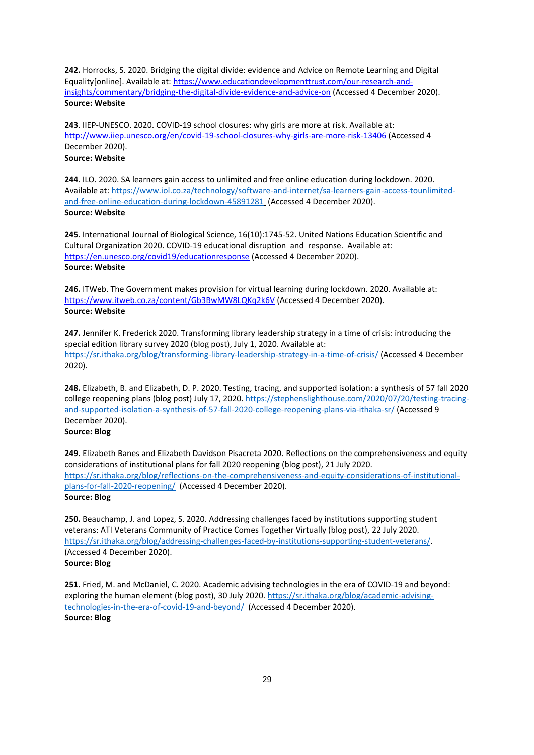**242.** Horrocks, S. 2020. Bridging the digital divide: evidence and Advice on Remote Learning and Digital Equality[online]. Available at: [https://www.educationdevelopmenttrust.com/our-research-and](https://www.educationdevelopmenttrust.com/our-research-and-insights/commentary/bridging-the-digital-divide-evidence-and-advice-on)[insights/commentary/bridging-the-digital-divide-evidence-and-advice-on](https://www.educationdevelopmenttrust.com/our-research-and-insights/commentary/bridging-the-digital-divide-evidence-and-advice-on) (Accessed 4 December 2020). **Source: Website**

**243**. IIEP-UNESCO. 2020. COVID-19 school closures: why girls are more at risk. Available at: <http://www.iiep.unesco.org/en/covid-19-school-closures-why-girls-are-more-risk-13406> (Accessed 4 December 2020). **Source: Website**

**244**. ILO. 2020. SA learners gain access to unlimited and free online education during lockdown. 2020. Available at[: https://www.iol.co.za/technology/software-and-internet/sa-learners-gain-access-tounlimited](https://www.iol.co.za/technology/software-and-internet/sa-learners-gain-access-tounlimited-and-free-online-education-during-lockdown-45891281)[and-free-online-education-during-lockdown-45891281](https://www.iol.co.za/technology/software-and-internet/sa-learners-gain-access-tounlimited-and-free-online-education-during-lockdown-45891281) (Accessed 4 December 2020). **Source: Website**

**245**. International Journal of Biological Science, 16(10):1745-52. United Nations Education Scientific and Cultural Organization 2020. COVID-19 educational disruption and response. Available at: <https://en.unesco.org/covid19/educationresponse> (Accessed 4 December 2020). **Source: Website**

**246.** ITWeb. The Government makes provision for virtual learning during lockdown. 2020. Available at: <https://www.itweb.co.za/content/Gb3BwMW8LQKq2k6V> (Accessed 4 December 2020). **Source: Website**

**247.** Jennifer K. Frederick 2020. Transforming library leadership strategy in a time of crisis: introducing the special edition library survey 2020 (blog post), July 1, 2020. Available at: <https://sr.ithaka.org/blog/transforming-library-leadership-strategy-in-a-time-of-crisis/> (Accessed 4 December 2020).

**248.** Elizabeth, B. and Elizabeth, D. P. 2020. Testing, tracing, and supported isolation: a synthesis of 57 fall 2020 college reopening plans (blog post) July 17, 2020. [https://stephenslighthouse.com/2020/07/20/testing-tracing](https://stephenslighthouse.com/2020/07/20/testing-tracing-and-supported-isolation-a-synthesis-of-57-fall-2020-college-reopening-plans-via-ithaka-sr/)[and-supported-isolation-a-synthesis-of-57-fall-2020-college-reopening-plans-via-ithaka-sr/](https://stephenslighthouse.com/2020/07/20/testing-tracing-and-supported-isolation-a-synthesis-of-57-fall-2020-college-reopening-plans-via-ithaka-sr/) (Accessed 9 December 2020).

**Source: Blog** 

**249.** Elizabeth Banes and Elizabeth Davidson Pisacreta 2020. Reflections on the comprehensiveness and equity considerations of institutional plans for fall 2020 reopening (blog post), 21 July 2020. [https://sr.ithaka.org/blog/reflections-on-the-comprehensiveness-and-equity-considerations-of-institutional](https://sr.ithaka.org/blog/reflections-on-the-comprehensiveness-and-equity-considerations-of-institutional-plans-for-fall-2020-reopening/)[plans-for-fall-2020-reopening/](https://sr.ithaka.org/blog/reflections-on-the-comprehensiveness-and-equity-considerations-of-institutional-plans-for-fall-2020-reopening/) (Accessed 4 December 2020). **Source: Blog**

**250.** Beauchamp, J. and Lopez, S. 2020. Addressing challenges faced by institutions supporting student veterans: ATI Veterans Community of Practice Comes Together Virtually (blog post), 22 July 2020. [https://sr.ithaka.org/blog/addressing-challenges-faced-by-institutions-supporting-student-veterans/.](https://sr.ithaka.org/blog/addressing-challenges-faced-by-institutions-supporting-student-veterans/) (Accessed 4 December 2020). **Source: Blog**

**251.** Fried, M. and McDaniel, C. 2020. Academic advising technologies in the era of COVID-19 and beyond: exploring the human element (blog post), 30 July 2020. [https://sr.ithaka.org/blog/academic-advising](https://sr.ithaka.org/blog/academic-advising-technologies-in-the-era-of-covid-19-and-beyond/)[technologies-in-the-era-of-covid-19-and-beyond/](https://sr.ithaka.org/blog/academic-advising-technologies-in-the-era-of-covid-19-and-beyond/) (Accessed 4 December 2020). **Source: Blog**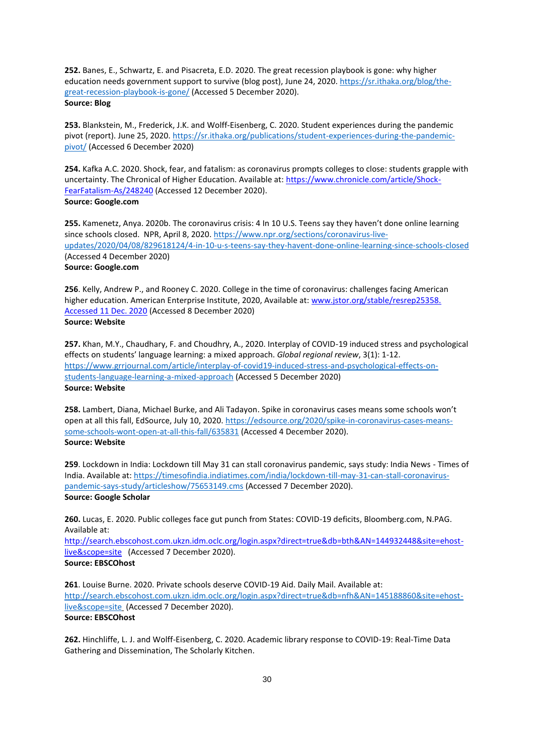**252.** Banes, E., Schwartz, E. and Pisacreta, E.D. 2020. The great recession playbook is gone: why higher education needs government support to survive (blog post), June 24, 2020. [https://sr.ithaka.org/blog/the](https://sr.ithaka.org/blog/the-great-recession-playbook-is-gone/)[great-recession-playbook-is-gone/](https://sr.ithaka.org/blog/the-great-recession-playbook-is-gone/) (Accessed 5 December 2020). **Source: Blog**

**253.** Blankstein, M., Frederick, J.K. and Wolff-Eisenberg, C. 2020. Student experiences during the pandemic pivot (report). June 25, 2020[. https://sr.ithaka.org/publications/student-experiences-during-the-pandemic](https://sr.ithaka.org/publications/student-experiences-during-the-pandemic-pivot/)[pivot/](https://sr.ithaka.org/publications/student-experiences-during-the-pandemic-pivot/) (Accessed 6 December 2020)

**254.** Kafka A.C. 2020. Shock, fear, and fatalism: as coronavirus prompts colleges to close: students grapple with uncertainty. The Chronical of Higher Education. Available at: [https://www.chronicle.com/article/Shock-](https://www.chronicle.com/article/Shock-FearFatalism-As/248240)[FearFatalism-As/248240](https://www.chronicle.com/article/Shock-FearFatalism-As/248240) (Accessed 12 December 2020). **Source: Google.com**

**255.** Kamenetz, Anya. 2020b. The coronavirus crisis: 4 In 10 U.S. Teens say they haven't done online learning since schools closed. NPR, April 8, 2020[. https://www.npr.org/sections/coronavirus-live](https://www.npr.org/sections/coronavirus-live-updates/2020/04/08/829618124/4-in-10-u-s-teens-say-they-havent-done-online-learning-since-schools-closed)[updates/2020/04/08/829618124/4-in-10-u-s-teens-say-they-havent-done-online-learning-since-schools-closed](https://www.npr.org/sections/coronavirus-live-updates/2020/04/08/829618124/4-in-10-u-s-teens-say-they-havent-done-online-learning-since-schools-closed) (Accessed 4 December 2020) **Source: Google.com**

**256**. Kelly, Andrew P., and Rooney C. 2020. College in the time of coronavirus: challenges facing American higher education. American Enterprise Institute, 2020, Available at: www.jstor.org/stable/resrep25358. [Accessed 11 Dec. 2020](http://www.jstor.org/stable/resrep25358.%20Accessed%2011%20Dec.%202020) (Accessed 8 December 2020) **Source: Website**

**257.** Khan, M.Y., Chaudhary, F. and Choudhry, A., 2020. Interplay of COVID-19 induced stress and psychological effects on students' language learning: a mixed approach. *Global regional review*, 3(1): 1-12. [https://www.grrjournal.com/article/interplay-of-covid19-induced-stress-and-psychological-effects-on](https://www.grrjournal.com/article/interplay-of-covid19-induced-stress-and-psychological-effects-on-students-language-learning-a-mixed-approach)[students-language-learning-a-mixed-approach](https://www.grrjournal.com/article/interplay-of-covid19-induced-stress-and-psychological-effects-on-students-language-learning-a-mixed-approach) (Accessed 5 December 2020) **Source: Website**

**258.** Lambert, Diana, Michael Burke, and Ali Tadayon. Spike in coronavirus cases means some schools won't open at all this fall, EdSource, July 10, 2020[. https://edsource.org/2020/spike-in-coronavirus-cases-means](https://edsource.org/2020/spike-in-coronavirus-cases-means-some-schools-wont-open-at-all-this-fall/635831)[some-schools-wont-open-at-all-this-fall/635831](https://edsource.org/2020/spike-in-coronavirus-cases-means-some-schools-wont-open-at-all-this-fall/635831) (Accessed 4 December 2020). **Source: Website**

**259**. Lockdown in India: Lockdown till May 31 can stall coronavirus pandemic, says study: India News - Times of India. Available at: [https://timesofindia.indiatimes.com/india/lockdown-till-may-31-can-stall-coronavirus](https://timesofindia.indiatimes.com/india/lockdown-till-may-31-can-stall-coronavirus-pandemic-says-study/articleshow/75653149.cms)[pandemic-says-study/articleshow/75653149.cms](https://timesofindia.indiatimes.com/india/lockdown-till-may-31-can-stall-coronavirus-pandemic-says-study/articleshow/75653149.cms) (Accessed 7 December 2020). **Source: Google Scholar**

**260.** Lucas, E. 2020. Public colleges face gut punch from States: COVID-19 deficits, Bloomberg.com, N.PAG. Available at:

[http://search.ebscohost.com.ukzn.idm.oclc.org/login.aspx?direct=true&db=bth&AN=144932448&site=ehost](http://search.ebscohost.com.ukzn.idm.oclc.org/login.aspx?direct=true&db=bth&AN=144932448&site=ehost-live&scope=site)[live&scope=site](http://search.ebscohost.com.ukzn.idm.oclc.org/login.aspx?direct=true&db=bth&AN=144932448&site=ehost-live&scope=site) (Accessed 7 December 2020). **Source: EBSCOhost**

**261**. Louise Burne. 2020. Private schools deserve COVID-19 Aid. Daily Mail. Available at: [http://search.ebscohost.com.ukzn.idm.oclc.org/login.aspx?direct=true&db=nfh&AN=145188860&site=ehost](http://search.ebscohost.com.ukzn.idm.oclc.org/login.aspx?direct=true&db=nfh&AN=145188860&site=ehost-live&scope=site)[live&scope=site](http://search.ebscohost.com.ukzn.idm.oclc.org/login.aspx?direct=true&db=nfh&AN=145188860&site=ehost-live&scope=site) (Accessed 7 December 2020). **Source: EBSCOhost**

**262.** Hinchliffe, L. J. and Wolff-Eisenberg, C. 2020. Academic library response to COVID-19: Real-Time Data Gathering and Dissemination, The Scholarly Kitchen.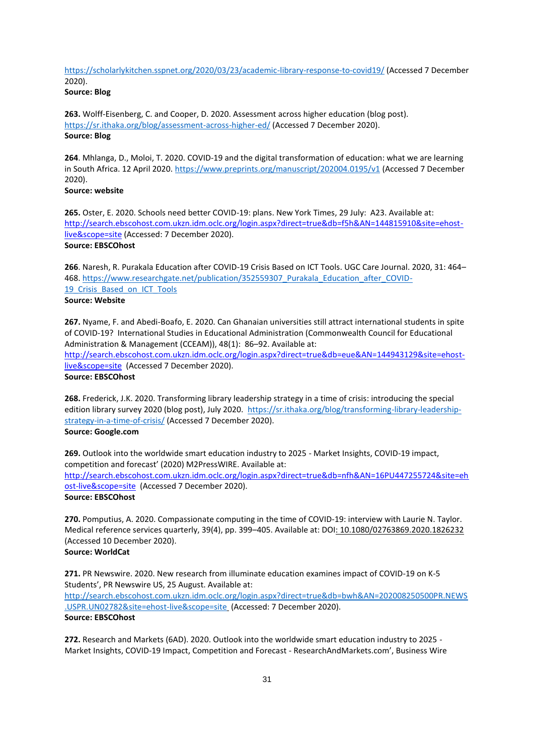<https://scholarlykitchen.sspnet.org/2020/03/23/academic-library-response-to-covid19/> (Accessed 7 December 2020).

**Source: Blog**

**263.** Wolff-Eisenberg, C. and Cooper, D. 2020. Assessment across higher education (blog post). <https://sr.ithaka.org/blog/assessment-across-higher-ed/> (Accessed 7 December 2020). **Source: Blog**

**264**. Mhlanga, D., Moloi, T. 2020. COVID-19 and the digital transformation of education: what we are learning in South Africa. 12 April 2020.<https://www.preprints.org/manuscript/202004.0195/v1> (Accessed 7 December 2020).

# **Source: website**

**265.** Oster, E. 2020. Schools need better COVID-19: plans. New York Times, 29 July: A23. Available at: [http://search.ebscohost.com.ukzn.idm.oclc.org/login.aspx?direct=true&db=f5h&AN=144815910&site=ehost](http://search.ebscohost.com.ukzn.idm.oclc.org/login.aspx?direct=true&db=f5h&AN=144815910&site=ehost-live&scope=site)[live&scope=site](http://search.ebscohost.com.ukzn.idm.oclc.org/login.aspx?direct=true&db=f5h&AN=144815910&site=ehost-live&scope=site) (Accessed: 7 December 2020). **Source: EBSCOhost**

**266**. Naresh, R. Purakala Education after COVID-19 Crisis Based on ICT Tools. UGC Care Journal. 2020, 31: 464– 468. [https://www.researchgate.net/publication/352559307\\_Purakala\\_Education\\_after\\_COVID-](https://www.researchgate.net/publication/352559307_Purakala_Education_after_COVID-19_Crisis_Based_on_ICT_Tools)19 Crisis Based on ICT Tools **Source: Website**

**267.** Nyame, F. and Abedi-Boafo, E. 2020. Can Ghanaian universities still attract international students in spite of COVID-19? International Studies in Educational Administration (Commonwealth Council for Educational Administration & Management (CCEAM)), 48(1): 86–92. Available at: [http://search.ebscohost.com.ukzn.idm.oclc.org/login.aspx?direct=true&db=eue&AN=144943129&site=ehost](http://search.ebscohost.com.ukzn.idm.oclc.org/login.aspx?direct=true&db=eue&AN=144943129&site=ehost-live&scope=site)[live&scope=site](http://search.ebscohost.com.ukzn.idm.oclc.org/login.aspx?direct=true&db=eue&AN=144943129&site=ehost-live&scope=site) (Accessed 7 December 2020). **Source: EBSCOhost**

**268.** Frederick, J.K. 2020. Transforming library leadership strategy in a time of crisis: introducing the special edition library survey 2020 (blog post), July 2020. [https://sr.ithaka.org/blog/transforming-library-leadership](https://sr.ithaka.org/blog/transforming-library-leadership-strategy-in-a-time-of-crisis/)[strategy-in-a-time-of-crisis/](https://sr.ithaka.org/blog/transforming-library-leadership-strategy-in-a-time-of-crisis/) (Accessed 7 December 2020). **Source: Google.com**

**269.** Outlook into the worldwide smart education industry to 2025 - Market Insights, COVID-19 impact, competition and forecast' (2020) M2PressWIRE. Available at: [http://search.ebscohost.com.ukzn.idm.oclc.org/login.aspx?direct=true&db=nfh&AN=16PU447255724&site=eh](http://search.ebscohost.com.ukzn.idm.oclc.org/login.aspx?direct=true&db=nfh&AN=16PU447255724&site=ehost-live&scope=site) [ost-live&scope=site](http://search.ebscohost.com.ukzn.idm.oclc.org/login.aspx?direct=true&db=nfh&AN=16PU447255724&site=ehost-live&scope=site) (Accessed 7 December 2020). **Source: EBSCOhost**

**270.** Pomputius, A. 2020. Compassionate computing in the time of COVID-19: interview with Laurie N. Taylor. Medical reference services quarterly, 39(4), pp. 399–405. Available at: DOI: 10.1080/02763869.2020.1826232 (Accessed 10 December 2020). **Source: WorldCat** 

**271.** PR Newswire. 2020. New research from illuminate education examines impact of COVID-19 on K-5 Students', PR Newswire US, 25 August. Available at: [http://search.ebscohost.com.ukzn.idm.oclc.org/login.aspx?direct=true&db=bwh&AN=202008250500PR.NEWS](http://search.ebscohost.com.ukzn.idm.oclc.org/login.aspx?direct=true&db=bwh&AN=202008250500PR.NEWS.USPR.UN02782&site=ehost-live&scope=site) [.USPR.UN02782&site=ehost-live&scope=site](http://search.ebscohost.com.ukzn.idm.oclc.org/login.aspx?direct=true&db=bwh&AN=202008250500PR.NEWS.USPR.UN02782&site=ehost-live&scope=site) (Accessed: 7 December 2020). **Source: EBSCOhost**

**272.** Research and Markets (6AD). 2020. Outlook into the worldwide smart education industry to 2025 - Market Insights, COVID-19 Impact, Competition and Forecast - ResearchAndMarkets.com', Business Wire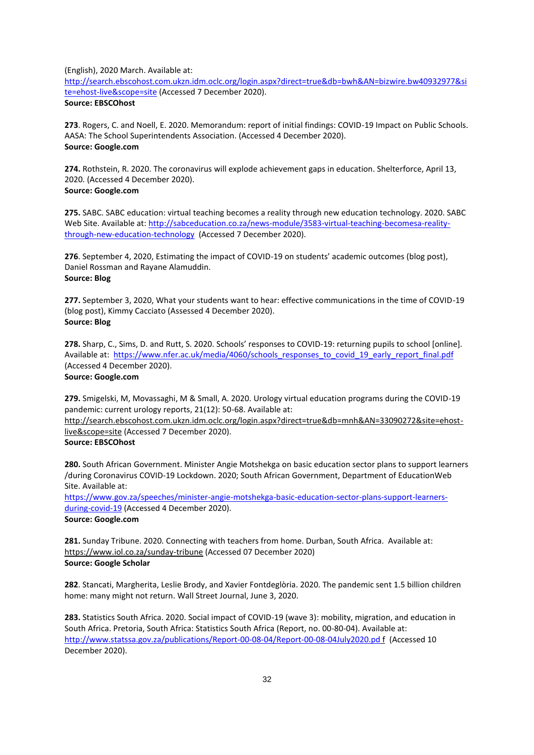(English), 2020 March. Available at:

[http://search.ebscohost.com.ukzn.idm.oclc.org/login.aspx?direct=true&db=bwh&AN=bizwire.bw40932977&si](http://search.ebscohost.com.ukzn.idm.oclc.org/login.aspx?direct=true&db=bwh&AN=bizwire.bw40932977&site=ehost-live&scope=site) [te=ehost-live&scope=site](http://search.ebscohost.com.ukzn.idm.oclc.org/login.aspx?direct=true&db=bwh&AN=bizwire.bw40932977&site=ehost-live&scope=site) (Accessed 7 December 2020). **Source: EBSCOhost**

**273**. Rogers, C. and Noell, E. 2020. Memorandum: report of initial findings: COVID-19 Impact on Public Schools. AASA: The School Superintendents Association. (Accessed 4 December 2020). **Source: Google.com**

**274.** Rothstein, R. 2020. The coronavirus will explode achievement gaps in education. Shelterforce, April 13, 2020. (Accessed 4 December 2020). **Source: Google.com**

**275.** SABC. SABC education: virtual teaching becomes a reality through new education technology. 2020. SABC Web Site. Available at[: http://sabceducation.co.za/news-module/3583-virtual-teaching-becomesa-reality](http://sabceducation.co.za/news-module/3583-virtual-teaching-becomesa-reality-through-new-education-technology)[through-new-education-technology](http://sabceducation.co.za/news-module/3583-virtual-teaching-becomesa-reality-through-new-education-technology) (Accessed 7 December 2020).

**276**. September 4, 2020, Estimating the impact of COVID-19 on students' academic outcomes (blog post), Daniel Rossman and Rayane Alamuddin. **Source: Blog**

**277.** September 3, 2020, What your students want to hear: effective communications in the time of COVID-19 (blog post), Kimmy Cacciato (Assessed 4 December 2020). **Source: Blog**

**278.** Sharp, C., Sims, D. and Rutt, S. 2020. Schools' responses to COVID-19: returning pupils to school [online]. Available at: [https://www.nfer.ac.uk/media/4060/schools\\_responses\\_to\\_covid\\_19\\_early\\_report\\_final.pdf](https://www.nfer.ac.uk/media/4060/schools_responses_to_covid_19_early_report_final.pdf) (Accessed 4 December 2020).

# **Source: Google.com**

**279.** Smigelski, M, Movassaghi, M & Small, A. 2020. Urology virtual education programs during the COVID-19 pandemic: current urology reports, 21(12): 50-68. Available at:

http://search.ebscohost.com.ukzn.idm.oclc.org/login.aspx?direct=true&db=mnh&AN=33090272&site=ehostlive&scope=site (Accessed 7 December 2020).

# **Source: EBSCOhost**

**280.** South African Government. Minister Angie Motshekga on basic education sector plans to support learners /during Coronavirus COVID-19 Lockdown. 2020; South African Government, Department of EducationWeb Site. Available at:

[https://www.gov.za/speeches/minister-angie-motshekga-basic-education-sector-plans-support-learners](https://www.gov.za/speeches/minister-angie-motshekga-basic-education-sector-plans-support-learners-during-covid-19)[during-covid-19](https://www.gov.za/speeches/minister-angie-motshekga-basic-education-sector-plans-support-learners-during-covid-19) (Accessed 4 December 2020). **Source: Google.com**

**281.** Sunday Tribune. 2020. Connecting with teachers from home. Durban, South Africa. Available at: https://www.iol.co.za/sunday-tribune (Accessed 07 December 2020) **Source: Google Scholar** 

**282**. Stancati, Margherita, Leslie Brody, and Xavier Fontdeglòria. 2020. The pandemic sent 1.5 billion children home: many might not return. Wall Street Journal, June 3, 2020.

**283.** Statistics South Africa. 2020. Social impact of COVID-19 (wave 3): mobility, migration, and education in South Africa. Pretoria, South Africa: Statistics South Africa (Report, no. 00-80-04). Available at: <http://www.statssa.gov.za/publications/Report-00-08-04/Report-00-08-04July2020.pd> f (Accessed 10 December 2020).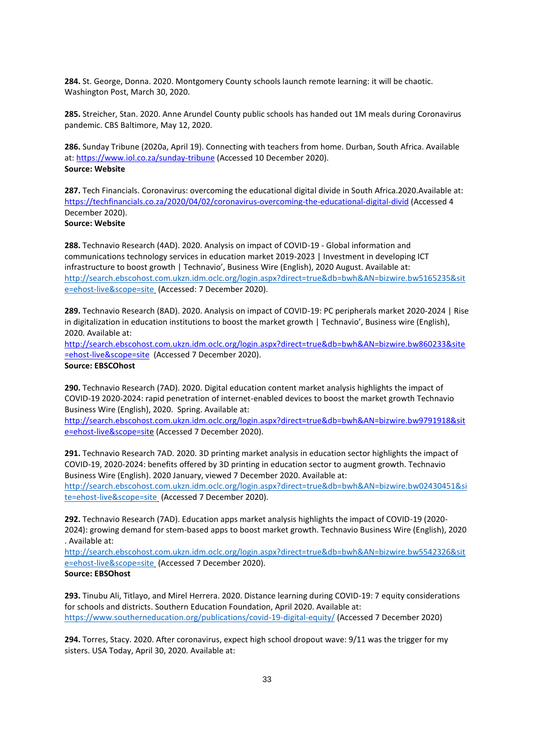**284.** St. George, Donna. 2020. Montgomery County schools launch remote learning: it will be chaotic. Washington Post, March 30, 2020.

**285.** Streicher, Stan. 2020. Anne Arundel County public schools has handed out 1M meals during Coronavirus pandemic. CBS Baltimore, May 12, 2020.

**286.** Sunday Tribune (2020a, April 19). Connecting with teachers from home. Durban, South Africa. Available at:<https://www.iol.co.za/sunday-tribune> (Accessed 10 December 2020). **Source: Website**

**287.** Tech Financials. Coronavirus: overcoming the educational digital divide in South Africa.2020.Available at: <https://techfinancials.co.za/2020/04/02/coronavirus-overcoming-the-educational-digital-divid> (Accessed 4 December 2020).

# **Source: Website**

**288.** Technavio Research (4AD). 2020. Analysis on impact of COVID-19 - Global information and communications technology services in education market 2019-2023 | Investment in developing ICT infrastructure to boost growth | Technavio', Business Wire (English), 2020 August. Available at: [http://search.ebscohost.com.ukzn.idm.oclc.org/login.aspx?direct=true&db=bwh&AN=bizwire.bw5165235&sit](http://search.ebscohost.com.ukzn.idm.oclc.org/login.aspx?direct=true&db=bwh&AN=bizwire.bw5165235&site=ehost-live&scope=site) [e=ehost-live&scope=site](http://search.ebscohost.com.ukzn.idm.oclc.org/login.aspx?direct=true&db=bwh&AN=bizwire.bw5165235&site=ehost-live&scope=site) (Accessed: 7 December 2020).

**289.** Technavio Research (8AD). 2020. Analysis on impact of COVID-19: PC peripherals market 2020-2024 | Rise in digitalization in education institutions to boost the market growth | Technavio', Business wire (English), 2020. Available at:

[http://search.ebscohost.com.ukzn.idm.oclc.org/login.aspx?direct=true&db=bwh&AN=bizwire.bw860233&site](http://search.ebscohost.com.ukzn.idm.oclc.org/login.aspx?direct=true&db=bwh&AN=bizwire.bw860233&site=ehost-live&scope=site) [=ehost-live&scope=site](http://search.ebscohost.com.ukzn.idm.oclc.org/login.aspx?direct=true&db=bwh&AN=bizwire.bw860233&site=ehost-live&scope=site) (Accessed 7 December 2020). **Source: EBSCOhost**

**290.** Technavio Research (7AD). 2020. Digital education content market analysis highlights the impact of COVID-19 2020-2024: rapid penetration of internet-enabled devices to boost the market growth Technavio Business Wire (English), 2020. Spring. Available at:

[http://search.ebscohost.com.ukzn.idm.oclc.org/login.aspx?direct=true&db=bwh&AN=bizwire.bw9791918&sit](http://search.ebscohost.com.ukzn.idm.oclc.org/login.aspx?direct=true&db=bwh&AN=bizwire.bw9791918&site=ehost-live&scope=sit) [e=ehost-live&scope=site](http://search.ebscohost.com.ukzn.idm.oclc.org/login.aspx?direct=true&db=bwh&AN=bizwire.bw9791918&site=ehost-live&scope=sit) (Accessed 7 December 2020).

**291.** Technavio Research 7AD. 2020. 3D printing market analysis in education sector highlights the impact of COVID-19, 2020-2024: benefits offered by 3D printing in education sector to augment growth. Technavio Business Wire (English). 2020 January, viewed 7 December 2020. Available at:

[http://search.ebscohost.com.ukzn.idm.oclc.org/login.aspx?direct=true&db=bwh&AN=bizwire.bw02430451&si](http://search.ebscohost.com.ukzn.idm.oclc.org/login.aspx?direct=true&db=bwh&AN=bizwire.bw02430451&site=ehost-live&scope=site) [te=ehost-live&scope=site](http://search.ebscohost.com.ukzn.idm.oclc.org/login.aspx?direct=true&db=bwh&AN=bizwire.bw02430451&site=ehost-live&scope=site) (Accessed 7 December 2020).

**292.** Technavio Research (7AD). Education apps market analysis highlights the impact of COVID-19 (2020- 2024): growing demand for stem-based apps to boost market growth. Technavio Business Wire (English), 2020 . Available at:

[http://search.ebscohost.com.ukzn.idm.oclc.org/login.aspx?direct=true&db=bwh&AN=bizwire.bw5542326&sit](http://search.ebscohost.com.ukzn.idm.oclc.org/login.aspx?direct=true&db=bwh&AN=bizwire.bw5542326&site=ehost-live&scope=site) [e=ehost-live&scope=site](http://search.ebscohost.com.ukzn.idm.oclc.org/login.aspx?direct=true&db=bwh&AN=bizwire.bw5542326&site=ehost-live&scope=site) (Accessed 7 December 2020).

**Source: EBSOhost**

**293.** Tinubu Ali, Titlayo, and Mirel Herrera. 2020. Distance learning during COVID-19: 7 equity considerations for schools and districts. Southern Education Foundation, April 2020. Available at: <https://www.southerneducation.org/publications/covid-19-digital-equity/> (Accessed 7 December 2020)

**294.** Torres, Stacy. 2020. After coronavirus, expect high school dropout wave: 9/11 was the trigger for my sisters. USA Today, April 30, 2020. Available at: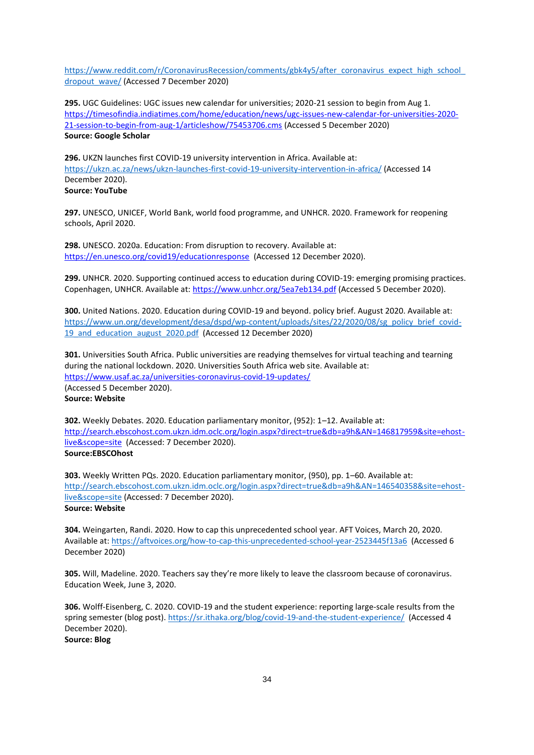https://www.reddit.com/r/CoronavirusRecession/comments/gbk4y5/after\_coronavirus\_expect\_high\_school [dropout\\_wave/](https://www.reddit.com/r/CoronavirusRecession/comments/gbk4y5/after_coronavirus_expect_high_school_dropout_wave/) (Accessed 7 December 2020)

**295.** UGC Guidelines: UGC issues new calendar for universities; 2020-21 session to begin from Aug 1. [https://timesofindia.indiatimes.com/home/education/news/ugc-issues-new-calendar-for-universities-2020-](https://timesofindia.indiatimes.com/home/education/news/ugc-issues-new-calendar-for-universities-2020-21-session-to-begin-from-aug-1/articleshow/75453706.cms) [21-session-to-begin-from-aug-1/articleshow/75453706.cms](https://timesofindia.indiatimes.com/home/education/news/ugc-issues-new-calendar-for-universities-2020-21-session-to-begin-from-aug-1/articleshow/75453706.cms) (Accessed 5 December 2020) **Source: Google Scholar**

**296.** UKZN launches first COVID-19 university intervention in Africa. Available at: <https://ukzn.ac.za/news/ukzn-launches-first-covid-19-university-intervention-in-africa/> (Accessed 14 December 2020). **Source: YouTube**

**297.** UNESCO, UNICEF, World Bank, world food programme, and UNHCR. 2020. Framework for reopening schools, April 2020.

**298.** UNESCO. 2020a. Education: From disruption to recovery. Available at: <https://en.unesco.org/covid19/educationresponse>(Accessed 12 December 2020).

**299.** UNHCR. 2020. Supporting continued access to education during COVID-19: emerging promising practices. Copenhagen, UNHCR. Available at:<https://www.unhcr.org/5ea7eb134.pdf> (Accessed 5 December 2020).

**300.** United Nations. 2020. Education during COVID-19 and beyond. policy brief. August 2020. Available at: [https://www.un.org/development/desa/dspd/wp-content/uploads/sites/22/2020/08/sg\\_policy\\_brief\\_covid-](https://www.un.org/development/desa/dspd/wp-content/uploads/sites/22/2020/08/sg_policy_brief_covid-19_and_education_august_2020.pdf)19 and education august 2020.pdf (Accessed 12 December 2020)

**301.** Universities South Africa. Public universities are readying themselves for virtual teaching and tearning during the national lockdown. 2020. Universities South Africa web site. Available at: <https://www.usaf.ac.za/universities-coronavirus-covid-19-updates/> (Accessed 5 December 2020). **Source: Website**

**302.** Weekly Debates. 2020. Education parliamentary monitor, (952): 1–12. Available at: [http://search.ebscohost.com.ukzn.idm.oclc.org/login.aspx?direct=true&db=a9h&AN=146817959&site=ehost](http://search.ebscohost.com.ukzn.idm.oclc.org/login.aspx?direct=true&db=a9h&AN=146817959&site=ehost-live&scope=site)[live&scope=site](http://search.ebscohost.com.ukzn.idm.oclc.org/login.aspx?direct=true&db=a9h&AN=146817959&site=ehost-live&scope=site) (Accessed: 7 December 2020). **Source:EBSCOhost**

**303.** Weekly Written PQs. 2020. Education parliamentary monitor, (950), pp. 1–60. Available at: [http://search.ebscohost.com.ukzn.idm.oclc.org/login.aspx?direct=true&db=a9h&AN=146540358&site=ehost](http://search.ebscohost.com.ukzn.idm.oclc.org/login.aspx?direct=true&db=a9h&AN=146540358&site=ehost-live&scope=site)[live&scope=site](http://search.ebscohost.com.ukzn.idm.oclc.org/login.aspx?direct=true&db=a9h&AN=146540358&site=ehost-live&scope=site) (Accessed: 7 December 2020). **Source: Website**

**304.** Weingarten, Randi. 2020. How to cap this unprecedented school year. AFT Voices, March 20, 2020. Available at[: https://aftvoices.org/how-to-cap-this-unprecedented-school-year-2523445f13a6](https://aftvoices.org/how-to-cap-this-unprecedented-school-year-2523445f13a6) (Accessed 6 December 2020)

**305.** Will, Madeline. 2020. Teachers say they're more likely to leave the classroom because of coronavirus. Education Week, June 3, 2020.

**306.** Wolff-Eisenberg, C. 2020. COVID-19 and the student experience: reporting large-scale results from the spring semester (blog post)[. https://sr.ithaka.org/blog/covid-19-and-the-student-experience/](https://sr.ithaka.org/blog/covid-19-and-the-student-experience/) (Accessed 4 December 2020). **Source: Blog**